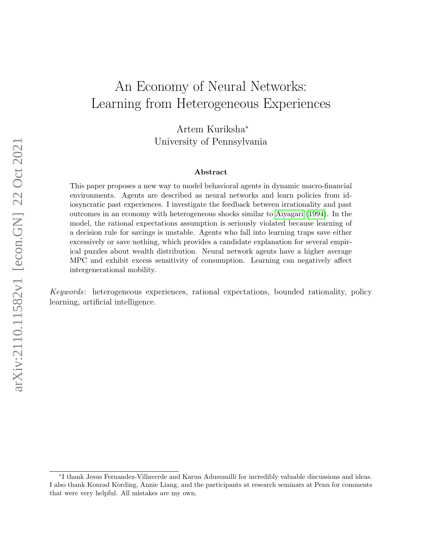# An Economy of Neural Networks: Learning from Heterogeneous Experiences

Artem Kuriksha<sup>∗</sup> University of Pennsylvania

#### Abstract

This paper proposes a new way to model behavioral agents in dynamic macro-financial environments. Agents are described as neural networks and learn policies from idiosyncratic past experiences. I investigate the feedback between irrationality and past outcomes in an economy with heterogeneous shocks similar to [Aiyagari \(1994\)](#page-40-0). In the model, the rational expectations assumption is seriously violated because learning of a decision rule for savings is unstable. Agents who fall into learning traps save either excessively or save nothing, which provides a candidate explanation for several empirical puzzles about wealth distribution. Neural network agents have a higher average MPC and exhibit excess sensitivity of consumption. Learning can negatively affect intergenerational mobility.

Keywords: heterogeneous experiences, rational expectations, bounded rationality, policy learning, artificial intelligence.

<sup>∗</sup> I thank Jesus Fernandez-Villaverde and Karun Adusumilli for incredibly valuable discussions and ideas. I also thank Konrad Kording, Annie Liang, and the participants at research seminars at Penn for comments that were very helpful. All mistakes are my own.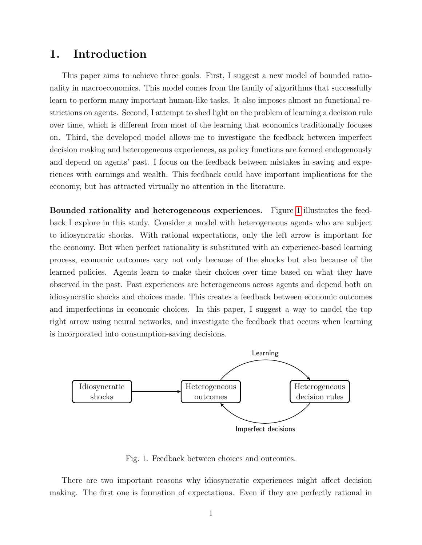# 1. Introduction

This paper aims to achieve three goals. First, I suggest a new model of bounded rationality in macroeconomics. This model comes from the family of algorithms that successfully learn to perform many important human-like tasks. It also imposes almost no functional restrictions on agents. Second, I attempt to shed light on the problem of learning a decision rule over time, which is different from most of the learning that economics traditionally focuses on. Third, the developed model allows me to investigate the feedback between imperfect decision making and heterogeneous experiences, as policy functions are formed endogenously and depend on agents' past. I focus on the feedback between mistakes in saving and experiences with earnings and wealth. This feedback could have important implications for the economy, but has attracted virtually no attention in the literature.

Bounded rationality and heterogeneous experiences. Figure [1](#page-1-0) illustrates the feedback I explore in this study. Consider a model with heterogeneous agents who are subject to idiosyncratic shocks. With rational expectations, only the left arrow is important for the economy. But when perfect rationality is substituted with an experience-based learning process, economic outcomes vary not only because of the shocks but also because of the learned policies. Agents learn to make their choices over time based on what they have observed in the past. Past experiences are heterogeneous across agents and depend both on idiosyncratic shocks and choices made. This creates a feedback between economic outcomes and imperfections in economic choices. In this paper, I suggest a way to model the top right arrow using neural networks, and investigate the feedback that occurs when learning is incorporated into consumption-saving decisions.



Fig. 1. Feedback between choices and outcomes.

<span id="page-1-0"></span>There are two important reasons why idiosyncratic experiences might affect decision making. The first one is formation of expectations. Even if they are perfectly rational in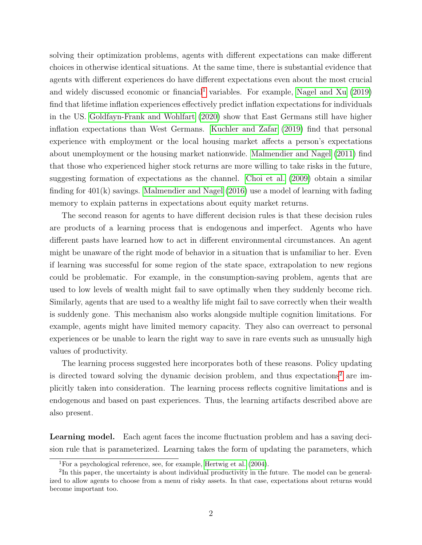solving their optimization problems, agents with different expectations can make different choices in otherwise identical situations. At the same time, there is substantial evidence that agents with different experiences do have different expectations even about the most crucial and widely discussed economic or financial<sup>[1](#page-2-0)</sup> variables. For example, Nagel and Xu  $(2019)$ find that lifetime inflation experiences effectively predict inflation expectations for individuals in the US. [Goldfayn-Frank and Wohlfart \(2020\)](#page-42-0) show that East Germans still have higher inflation expectations than West Germans. [Kuchler and Zafar \(2019\)](#page-42-1) find that personal experience with employment or the local housing market affects a person's expectations about unemployment or the housing market nationwide. [Malmendier and Nagel \(2011\)](#page-43-1) find that those who experienced higher stock returns are more willing to take risks in the future, suggesting formation of expectations as the channel. [Choi et al. \(2009\)](#page-41-0) obtain a similar finding for  $401(k)$  savings. Malmendier and Nagel  $(2016)$  use a model of learning with fading memory to explain patterns in expectations about equity market returns.

The second reason for agents to have different decision rules is that these decision rules are products of a learning process that is endogenous and imperfect. Agents who have different pasts have learned how to act in different environmental circumstances. An agent might be unaware of the right mode of behavior in a situation that is unfamiliar to her. Even if learning was successful for some region of the state space, extrapolation to new regions could be problematic. For example, in the consumption-saving problem, agents that are used to low levels of wealth might fail to save optimally when they suddenly become rich. Similarly, agents that are used to a wealthy life might fail to save correctly when their wealth is suddenly gone. This mechanism also works alongside multiple cognition limitations. For example, agents might have limited memory capacity. They also can overreact to personal experiences or be unable to learn the right way to save in rare events such as unusually high values of productivity.

The learning process suggested here incorporates both of these reasons. Policy updating is directed toward solving the dynamic decision problem, and thus expectations<sup>[2](#page-2-1)</sup> are implicitly taken into consideration. The learning process reflects cognitive limitations and is endogenous and based on past experiences. Thus, the learning artifacts described above are also present.

Learning model. Each agent faces the income fluctuation problem and has a saving decision rule that is parameterized. Learning takes the form of updating the parameters, which

<span id="page-2-1"></span><span id="page-2-0"></span><sup>1</sup>For a psychological reference, see, for example, [Hertwig et al. \(2004\)](#page-42-2).

<sup>&</sup>lt;sup>2</sup>In this paper, the uncertainty is about individual productivity in the future. The model can be generalized to allow agents to choose from a menu of risky assets. In that case, expectations about returns would become important too.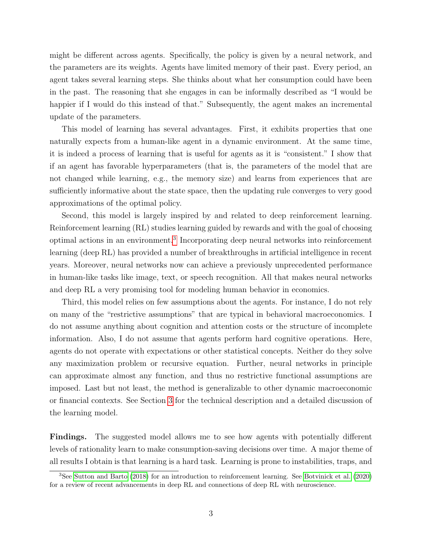might be different across agents. Specifically, the policy is given by a neural network, and the parameters are its weights. Agents have limited memory of their past. Every period, an agent takes several learning steps. She thinks about what her consumption could have been in the past. The reasoning that she engages in can be informally described as "I would be happier if I would do this instead of that." Subsequently, the agent makes an incremental update of the parameters.

This model of learning has several advantages. First, it exhibits properties that one naturally expects from a human-like agent in a dynamic environment. At the same time, it is indeed a process of learning that is useful for agents as it is "consistent." I show that if an agent has favorable hyperparameters (that is, the parameters of the model that are not changed while learning, e.g., the memory size) and learns from experiences that are sufficiently informative about the state space, then the updating rule converges to very good approximations of the optimal policy.

Second, this model is largely inspired by and related to deep reinforcement learning. Reinforcement learning (RL) studies learning guided by rewards and with the goal of choosing optimal actions in an environment.[3](#page-3-0) Incorporating deep neural networks into reinforcement learning (deep RL) has provided a number of breakthroughs in artificial intelligence in recent years. Moreover, neural networks now can achieve a previously unprecedented performance in human-like tasks like image, text, or speech recognition. All that makes neural networks and deep RL a very promising tool for modeling human behavior in economics.

Third, this model relies on few assumptions about the agents. For instance, I do not rely on many of the "restrictive assumptions" that are typical in behavioral macroeconomics. I do not assume anything about cognition and attention costs or the structure of incomplete information. Also, I do not assume that agents perform hard cognitive operations. Here, agents do not operate with expectations or other statistical concepts. Neither do they solve any maximization problem or recursive equation. Further, neural networks in principle can approximate almost any function, and thus no restrictive functional assumptions are imposed. Last but not least, the method is generalizable to other dynamic macroeconomic or financial contexts. See Section [3](#page-10-0) for the technical description and a detailed discussion of the learning model.

Findings. The suggested model allows me to see how agents with potentially different levels of rationality learn to make consumption-saving decisions over time. A major theme of all results I obtain is that learning is a hard task. Learning is prone to instabilities, traps, and

<span id="page-3-0"></span><sup>3</sup>See [Sutton and Barto \(2018\)](#page-44-0) for an introduction to reinforcement learning. See [Botvinick et al. \(2020\)](#page-41-1) for a review of recent advancements in deep RL and connections of deep RL with neuroscience.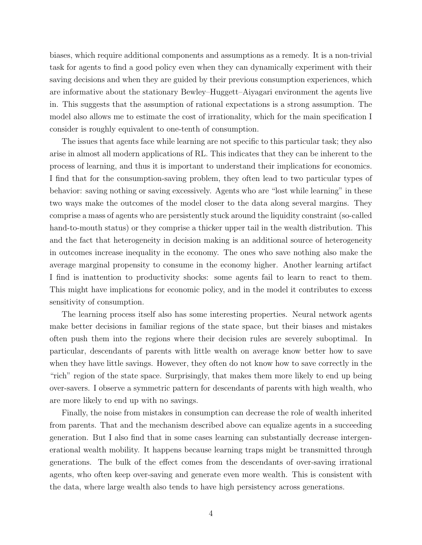biases, which require additional components and assumptions as a remedy. It is a non-trivial task for agents to find a good policy even when they can dynamically experiment with their saving decisions and when they are guided by their previous consumption experiences, which are informative about the stationary Bewley–Huggett–Aiyagari environment the agents live in. This suggests that the assumption of rational expectations is a strong assumption. The model also allows me to estimate the cost of irrationality, which for the main specification I consider is roughly equivalent to one-tenth of consumption.

The issues that agents face while learning are not specific to this particular task; they also arise in almost all modern applications of RL. This indicates that they can be inherent to the process of learning, and thus it is important to understand their implications for economics. I find that for the consumption-saving problem, they often lead to two particular types of behavior: saving nothing or saving excessively. Agents who are "lost while learning" in these two ways make the outcomes of the model closer to the data along several margins. They comprise a mass of agents who are persistently stuck around the liquidity constraint (so-called hand-to-mouth status) or they comprise a thicker upper tail in the wealth distribution. This and the fact that heterogeneity in decision making is an additional source of heterogeneity in outcomes increase inequality in the economy. The ones who save nothing also make the average marginal propensity to consume in the economy higher. Another learning artifact I find is inattention to productivity shocks: some agents fail to learn to react to them. This might have implications for economic policy, and in the model it contributes to excess sensitivity of consumption.

The learning process itself also has some interesting properties. Neural network agents make better decisions in familiar regions of the state space, but their biases and mistakes often push them into the regions where their decision rules are severely suboptimal. In particular, descendants of parents with little wealth on average know better how to save when they have little savings. However, they often do not know how to save correctly in the "rich" region of the state space. Surprisingly, that makes them more likely to end up being over-savers. I observe a symmetric pattern for descendants of parents with high wealth, who are more likely to end up with no savings.

Finally, the noise from mistakes in consumption can decrease the role of wealth inherited from parents. That and the mechanism described above can equalize agents in a succeeding generation. But I also find that in some cases learning can substantially decrease intergenerational wealth mobility. It happens because learning traps might be transmitted through generations. The bulk of the effect comes from the descendants of over-saving irrational agents, who often keep over-saving and generate even more wealth. This is consistent with the data, where large wealth also tends to have high persistency across generations.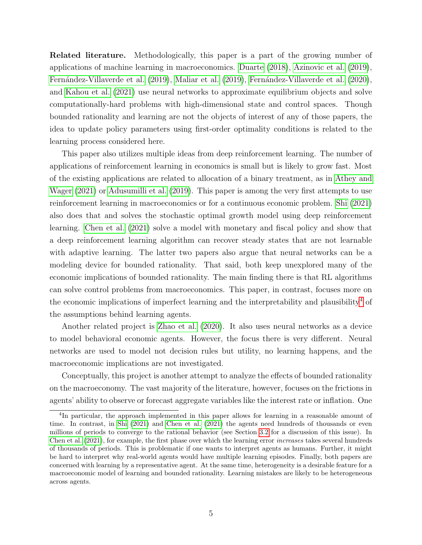Related literature. Methodologically, this paper is a part of the growing number of applications of machine learning in macroeconomics. [Duarte \(2018\)](#page-41-2), [Azinovic et al. \(2019\)](#page-40-1), Fernández-Villaverde et al. (2019), [Maliar et al. \(2019\)](#page-43-3), Fernández-Villaverde et al. (2020), and [Kahou et al. \(2021\)](#page-42-3) use neural networks to approximate equilibrium objects and solve computationally-hard problems with high-dimensional state and control spaces. Though bounded rationality and learning are not the objects of interest of any of those papers, the idea to update policy parameters using first-order optimality conditions is related to the learning process considered here.

This paper also utilizes multiple ideas from deep reinforcement learning. The number of applications of reinforcement learning in economics is small but is likely to grow fast. Most of the existing applications are related to allocation of a binary treatment, as in [Athey and](#page-40-2) [Wager \(2021\)](#page-40-2) or [Adusumilli et al. \(2019\)](#page-40-3). This paper is among the very first attempts to use reinforcement learning in macroeconomics or for a continuous economic problem. [Shi \(2021\)](#page-44-1) also does that and solves the stochastic optimal growth model using deep reinforcement learning. [Chen et al. \(2021\)](#page-41-5) solve a model with monetary and fiscal policy and show that a deep reinforcement learning algorithm can recover steady states that are not learnable with adaptive learning. The latter two papers also argue that neural networks can be a modeling device for bounded rationality. That said, both keep unexplored many of the economic implications of bounded rationality. The main finding there is that RL algorithms can solve control problems from macroeconomics. This paper, in contrast, focuses more on the economic implications of imperfect learning and the interpretability and plausibility<sup>[4](#page-5-0)</sup> of the assumptions behind learning agents.

Another related project is [Zhao et al. \(2020\)](#page-44-2). It also uses neural networks as a device to model behavioral economic agents. However, the focus there is very different. Neural networks are used to model not decision rules but utility, no learning happens, and the macroeconomic implications are not investigated.

Conceptually, this project is another attempt to analyze the effects of bounded rationality on the macroeconomy. The vast majority of the literature, however, focuses on the frictions in agents' ability to observe or forecast aggregate variables like the interest rate or inflation. One

<span id="page-5-0"></span><sup>&</sup>lt;sup>4</sup>In particular, the approach implemented in this paper allows for learning in a reasonable amount of time. In contrast, in [Shi \(2021\)](#page-44-1) and [Chen et al. \(2021\)](#page-41-5) the agents need hundreds of thousands or even millions of periods to converge to the rational behavior (see Section [3.2](#page-15-0) for a discussion of this issue). In [Chen et al. \(2021\)](#page-41-5), for example, the first phase over which the learning error increases takes several hundreds of thousands of periods. This is problematic if one wants to interpret agents as humans. Further, it might be hard to interpret why real-world agents would have multiple learning episodes. Finally, both papers are concerned with learning by a representative agent. At the same time, heterogeneity is a desirable feature for a macroeconomic model of learning and bounded rationality. Learning mistakes are likely to be heterogeneous across agents.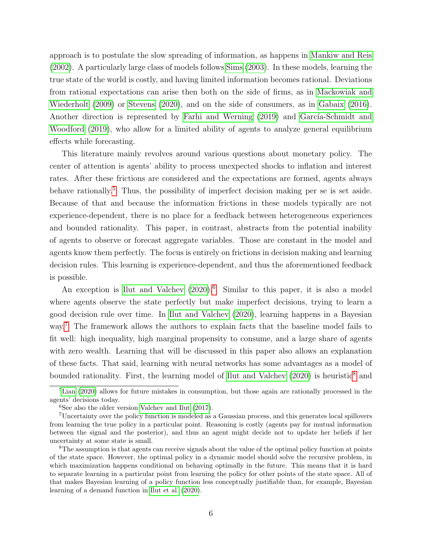approach is to postulate the slow spreading of information, as happens in [Mankiw and Reis](#page-43-4) [\(2002\)](#page-43-4). A particularly large class of models follows [Sims \(2003\)](#page-44-3). In these models, learning the true state of the world is costly, and having limited information becomes rational. Deviations from rational expectations can arise then both on the side of firms, as in [Mackowiak and](#page-43-5) [Wiederholt \(2009\)](#page-43-5) or [Stevens \(2020\)](#page-44-4), and on the side of consumers, as in [Gabaix \(2016\)](#page-42-4). Another direction is represented by [Farhi and Werning \(2019\)](#page-41-6) and García-Schmidt and [Woodford \(2019\)](#page-42-5), who allow for a limited ability of agents to analyze general equilibrium effects while forecasting.

This literature mainly revolves around various questions about monetary policy. The center of attention is agents' ability to process unexpected shocks to inflation and interest rates. After these frictions are considered and the expectations are formed, agents always behave rationally.<sup>[5](#page-6-0)</sup> Thus, the possibility of imperfect decision making per se is set aside. Because of that and because the information frictions in these models typically are not experience-dependent, there is no place for a feedback between heterogeneous experiences and bounded rationality. This paper, in contrast, abstracts from the potential inability of agents to observe or forecast aggregate variables. Those are constant in the model and agents know them perfectly. The focus is entirely on frictions in decision making and learning decision rules. This learning is experience-dependent, and thus the aforementioned feedback is possible.

An exception is Ilut and Valchev  $(2020)^6$  $(2020)^6$ . Similar to this paper, it is also a model where agents observe the state perfectly but make imperfect decisions, trying to learn a good decision rule over time. In [Ilut and Valchev \(2020\)](#page-42-6), learning happens in a Bayesian way.<sup>[7](#page-6-2)</sup> The framework allows the authors to explain facts that the baseline model fails to fit well: high inequality, high marginal propensity to consume, and a large share of agents with zero wealth. Learning that will be discussed in this paper also allows an explanation of these facts. That said, learning with neural networks has some advantages as a model of bounded rationality. First, the learning model of Ilut and Valchev  $(2020)$  is heuristic<sup>[8](#page-6-3)</sup> and

<span id="page-6-0"></span><sup>5</sup>[Lian \(2020\)](#page-43-6) allows for future mistakes in consumption, but those again are rationally processed in the agents' decisions today.

<span id="page-6-2"></span><span id="page-6-1"></span> ${}^{6}$ See also the older version [Valchev and Ilut \(2017\)](#page-44-5).

<sup>7</sup>Uncertainty over the policy function is modeled as a Gaussian process, and this generates local spillovers from learning the true policy in a particular point. Reasoning is costly (agents pay for mutual information between the signal and the posterior), and thus an agent might decide not to update her beliefs if her uncertainty at some state is small.

<span id="page-6-3"></span><sup>&</sup>lt;sup>8</sup>The assumption is that agents can receive signals about the value of the optimal policy function at points of the state space. However, the optimal policy in a dynamic model should solve the recursive problem, in which maximization happens conditional on behaving optimally in the future. This means that it is hard to separate learning in a particular point from learning the policy for other points of the state space. All of that makes Bayesian learning of a policy function less conceptually justifiable than, for example, Bayesian learning of a demand function in [Ilut et al. \(2020\)](#page-42-7).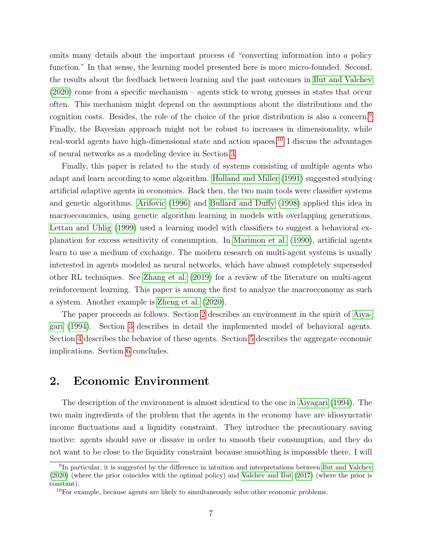omits many details about the important process of "converting information into a policy function." In that sense, the learning model presented here is more micro-founded. Second, the results about the feedback between learning and the past outcomes in [Ilut and Valchev](#page-42-6) [\(2020\)](#page-42-6) come from a specific mechanism – agents stick to wrong guesses in states that occur often. This mechanism might depend on the assumptions about the distributions and the cognition costs. Besides, the role of the choice of the prior distribution is also a concern.[9](#page-7-0) Finally, the Bayesian approach might not be robust to increases in dimensionality, while real-world agents have high-dimensional state and action spaces.[10](#page-7-1) I discuss the advantages of neural networks as a modeling device in Section [3.](#page-10-0)

Finally, this paper is related to the study of systems consisting of multiple agents who adapt and learn according to some algorithm. [Holland and Miller \(1991\)](#page-42-8) suggested studying artificial adaptive agents in economics. Back then, the two main tools were classifier systems and genetic algorithms. [Arifovic \(1996\)](#page-40-4) and [Bullard and Duffy \(1998\)](#page-41-7) applied this idea in macroeconomics, using genetic algorithm learning in models with overlapping generations. [Lettau and Uhlig \(1999\)](#page-42-9) used a learning model with classifiers to suggest a behavioral explanation for excess sensitivity of consumption. In [Marimon et al. \(1990\)](#page-43-7), artificial agents learn to use a medium of exchange. The modern research on multi-agent systems is usually interested in agents modeled as neural networks, which have almost completely superseded other RL techniques. See [Zhang et al. \(2019\)](#page-44-6) for a review of the literature on multi-agent reinforcement learning. This paper is among the first to analyze the macroeconomy as such a system. Another example is [Zheng et al. \(2020\)](#page-44-7).

The paper proceeds as follows. Section [2](#page-7-2) describes an environment in the spirit of [Aiya](#page-40-0)[gari \(1994\)](#page-40-0). Section [3](#page-10-0) describes in detail the implemented model of behavioral agents. Section [4](#page-20-0) describes the behavior of these agents. Section [5](#page-31-0) describes the aggregate economic implications. Section [6](#page-39-0) concludes.

## <span id="page-7-2"></span>2. Economic Environment

The description of the environment is almost identical to the one in [Aiyagari \(1994\)](#page-40-0). The two main ingredients of the problem that the agents in the economy have are idiosyncratic income fluctuations and a liquidity constraint. They introduce the precautionary saving motive: agents should save or dissave in order to smooth their consumption, and they do not want to be close to the liquidity constraint because smoothing is impossible there. I will

<span id="page-7-0"></span><sup>&</sup>lt;sup>9</sup>In particular, it is suggested by the difference in intuition and interpretations between [Ilut and Valchev](#page-42-6) [\(2020\)](#page-42-6) (where the prior coincides with the optimal policy) and [Valchev and Ilut \(2017\)](#page-44-5) (where the prior is constant).

<span id="page-7-1"></span> $10$ For example, because agents are likely to simultaneously solve other economic problems.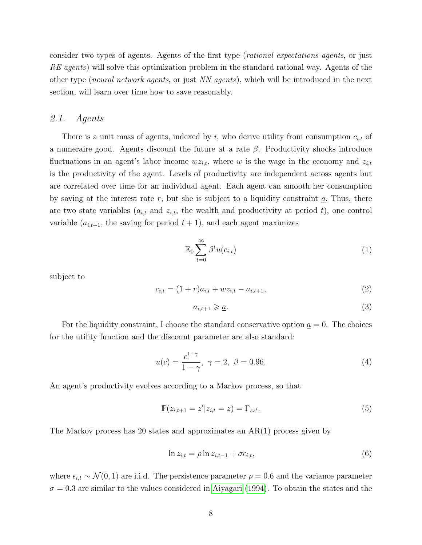consider two types of agents. Agents of the first type (rational expectations agents, or just RE agents) will solve this optimization problem in the standard rational way. Agents of the other type (neural network agents, or just NN agents), which will be introduced in the next section, will learn over time how to save reasonably.

#### 2.1. Agents

There is a unit mass of agents, indexed by i, who derive utility from consumption  $c_{i,t}$  of a numeraire good. Agents discount the future at a rate  $\beta$ . Productivity shocks introduce fluctuations in an agent's labor income  $wz_{i,t}$ , where w is the wage in the economy and  $z_{i,t}$ is the productivity of the agent. Levels of productivity are independent across agents but are correlated over time for an individual agent. Each agent can smooth her consumption by saving at the interest rate r, but she is subject to a liquidity constraint  $\underline{a}$ . Thus, there are two state variables  $(a_{i,t}$  and  $z_{i,t}$ , the wealth and productivity at period t), one control variable  $(a_{i,t+1},$  the saving for period  $t+1$ , and each agent maximizes

$$
\mathbb{E}_0 \sum_{t=0}^{\infty} \beta^t u(c_{i,t}) \tag{1}
$$

subject to

$$
c_{i,t} = (1+r)a_{i,t} + wz_{i,t} - a_{i,t+1},
$$
\n(2)

$$
a_{i,t+1} \geqslant \underline{a}.\tag{3}
$$

For the liquidity constraint, I choose the standard conservative option  $\underline{a} = 0$ . The choices for the utility function and the discount parameter are also standard:

$$
u(c) = \frac{c^{1-\gamma}}{1-\gamma}, \ \gamma = 2, \ \beta = 0.96. \tag{4}
$$

An agent's productivity evolves according to a Markov process, so that

$$
\mathbb{P}(z_{i,t+1} = z'|z_{i,t} = z) = \Gamma_{zz'}.
$$
\n(5)

The Markov process has 20 states and approximates an  $AR(1)$  process given by

$$
\ln z_{i,t} = \rho \ln z_{i,t-1} + \sigma \epsilon_{i,t},\tag{6}
$$

where  $\epsilon_{i,t} \sim \mathcal{N}(0, 1)$  are i.i.d. The persistence parameter  $\rho = 0.6$  and the variance parameter  $\sigma = 0.3$  are similar to the values considered in [Aiyagari \(1994\)](#page-40-0). To obtain the states and the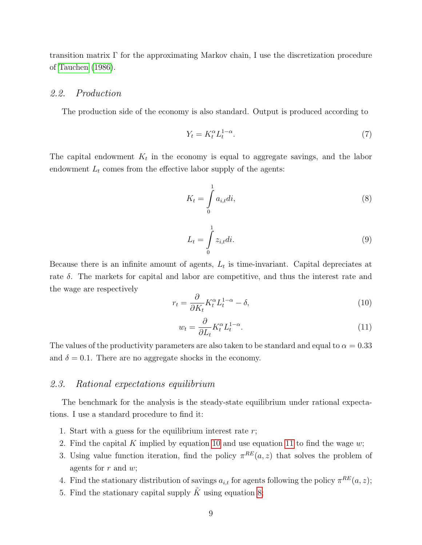transition matrix Γ for the approximating Markov chain, I use the discretization procedure of [Tauchen \(1986\)](#page-44-8).

#### 2.2. Production

The production side of the economy is also standard. Output is produced according to

$$
Y_t = K_t^{\alpha} L_t^{1-\alpha}.
$$
\n<sup>(7)</sup>

The capital endowment  $K_t$  in the economy is equal to aggregate savings, and the labor endowment  $L_t$  comes from the effective labor supply of the agents:

<span id="page-9-2"></span>
$$
K_t = \int\limits_0^1 a_{i,t} di,
$$
\n(8)

$$
L_t = \int_0^1 z_{i,t} di.
$$
\n(9)

Because there is an infinite amount of agents,  $L_t$  is time-invariant. Capital depreciates at rate  $\delta$ . The markets for capital and labor are competitive, and thus the interest rate and the wage are respectively

<span id="page-9-0"></span>
$$
r_t = \frac{\partial}{\partial K_t} K_t^{\alpha} L_t^{1-\alpha} - \delta,\tag{10}
$$

<span id="page-9-1"></span>
$$
w_t = \frac{\partial}{\partial L_t} K_t^{\alpha} L_t^{1-\alpha}.
$$
\n(11)

The values of the productivity parameters are also taken to be standard and equal to  $\alpha = 0.33$ and  $\delta = 0.1$ . There are no aggregate shocks in the economy.

### 2.3. Rational expectations equilibrium

The benchmark for the analysis is the steady-state equilibrium under rational expectations. I use a standard procedure to find it:

- 1. Start with a guess for the equilibrium interest rate  $r$ ;
- 2. Find the capital K implied by equation [10](#page-9-0) and use equation [11](#page-9-1) to find the wage  $w$ ;
- 3. Using value function iteration, find the policy  $\pi^{RE}(a, z)$  that solves the problem of agents for  $r$  and  $w$ ;
- 4. Find the stationary distribution of savings  $a_{i,t}$  for agents following the policy  $\pi^{RE}(a, z)$ ;
- 5. Find the stationary capital supply  $\tilde{K}$  using equation [8;](#page-9-2)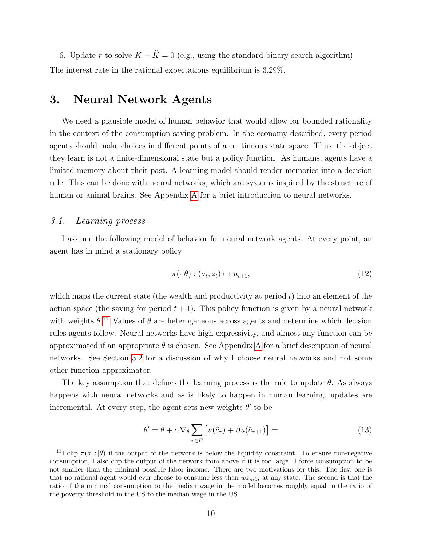6. Update r to solve  $K - \tilde{K} = 0$  (e.g., using the standard binary search algorithm). The interest rate in the rational expectations equilibrium is 3.29%.

# <span id="page-10-0"></span>3. Neural Network Agents

We need a plausible model of human behavior that would allow for bounded rationality in the context of the consumption-saving problem. In the economy described, every period agents should make choices in different points of a continuous state space. Thus, the object they learn is not a finite-dimensional state but a policy function. As humans, agents have a limited memory about their past. A learning model should render memories into a decision rule. This can be done with neural networks, which are systems inspired by the structure of human or animal brains. See Appendix [A](#page-45-0) for a brief introduction to neural networks.

### <span id="page-10-3"></span>3.1. Learning process

I assume the following model of behavior for neural network agents. At every point, an agent has in mind a stationary policy

$$
\pi(\cdot|\theta) : (a_t, z_t) \mapsto a_{t+1},\tag{12}
$$

which maps the current state (the wealth and productivity at period  $t$ ) into an element of the action space (the saving for period  $t + 1$ ). This policy function is given by a neural network with weights  $\theta$ .<sup>[11](#page-10-1)</sup> Values of  $\theta$  are heterogeneous across agents and determine which decision rules agents follow. Neural networks have high expressivity, and almost any function can be approximated if an appropriate  $\theta$  is chosen. See [A](#page-45-0)ppendix A for a brief description of neural networks. See Section [3.2](#page-12-0) for a discussion of why I choose neural networks and not some other function approximator.

The key assumption that defines the learning process is the rule to update  $\theta$ . As always happens with neural networks and as is likely to happen in human learning, updates are incremental. At every step, the agent sets new weights  $\theta'$  to be

<span id="page-10-2"></span>
$$
\theta' = \theta + \alpha \nabla_{\theta} \sum_{\tau \in E} \left[ u(\tilde{c}_{\tau}) + \beta u(\tilde{c}_{\tau+1}) \right] = \tag{13}
$$

<span id="page-10-1"></span><sup>&</sup>lt;sup>11</sup>I clip  $\pi(a, z|\theta)$  if the output of the network is below the liquidity constraint. To ensure non-negative consumption, I also clip the output of the network from above if it is too large. I force consumption to be not smaller than the minimal possible labor income. There are two motivations for this. The first one is that no rational agent would ever choose to consume less than  $wz_{min}$  at any state. The second is that the ratio of the minimal consumption to the median wage in the model becomes roughly equal to the ratio of the poverty threshold in the US to the median wage in the US.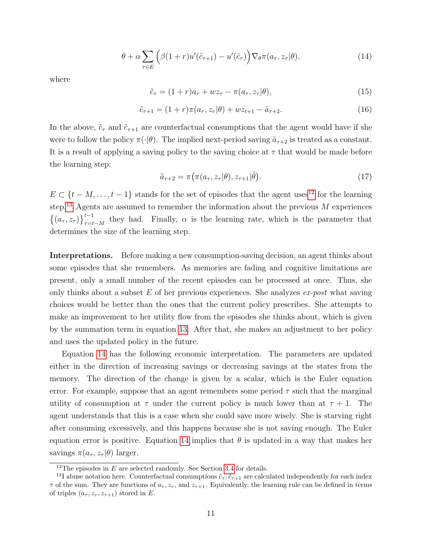<span id="page-11-2"></span>
$$
\theta + \alpha \sum_{\tau \in E} \left( \beta (1+r) u'(\tilde{c}_{\tau+1}) - u'(\tilde{c}_{\tau}) \right) \nabla_{\theta} \pi(a_{\tau}, z_{\tau} | \theta), \tag{14}
$$

where

$$
\tilde{c}_{\tau} = (1+r)a_{\tau} + wz_{\tau} - \pi(a_{\tau}, z_{\tau}|\theta),\tag{15}
$$

$$
\tilde{c}_{\tau+1} = (1+r)\pi(a_{\tau}, z_{\tau}|\theta) + wz_{t+1} - \tilde{a}_{\tau+2}.
$$
\n(16)

In the above,  $\tilde{c}_{\tau}$  and  $\tilde{c}_{\tau+1}$  are counterfactual consumptions that the agent would have if she were to follow the policy  $\pi(\cdot|\theta)$ . The implied next-period saving  $\tilde{a}_{\tau+2}$  is treated as a constant. It is a result of applying a saving policy to the saving choice at  $\tau$  that would be made before the learning step:

<span id="page-11-3"></span>
$$
\tilde{a}_{\tau+2} = \pi \big( \pi(a_{\tau}, z_{\tau} | \theta), z_{\tau+1} | \tilde{\theta} \big). \tag{17}
$$

 $E \subset \{t - M, \ldots, t - 1\}$  stands for the set of episodes that the agent uses<sup>[12](#page-11-0)</sup> for the learning step.<sup>[13](#page-11-1)</sup> Agents are assumed to remember the information about the previous  $M$  experiences  $\{(a_{\tau}, z_{\tau})\}_{\tau=t-M}^{t-1}$  they had. Finally,  $\alpha$  is the learning rate, which is the parameter that determines the size of the learning step.

Interpretations. Before making a new consumption-saving decision, an agent thinks about some episodes that she remembers. As memories are fading and cognitive limitations are present, only a small number of the recent episodes can be processed at once. Thus, she only thinks about a subset E of her previous experiences. She analyzes  $ex$ -post what saving choices would be better than the ones that the current policy prescribes. She attempts to make an improvement to her utility flow from the episodes she thinks about, which is given by the summation term in equation [13.](#page-10-2) After that, she makes an adjustment to her policy and uses the updated policy in the future.

Equation [14](#page-11-2) has the following economic interpretation. The parameters are updated either in the direction of increasing savings or decreasing savings at the states from the memory. The direction of the change is given by a scalar, which is the Euler equation error. For example, suppose that an agent remembers some period  $\tau$  such that the marginal utility of consumption at  $\tau$  under the current policy is much lower than at  $\tau + 1$ . The agent understands that this is a case when she could save more wisely. She is starving right after consuming excessively, and this happens because she is not saving enough. The Euler equation error is positive. Equation [14](#page-11-2) implies that  $\theta$  is updated in a way that makes her savings  $\pi(a_\tau, z_\tau|\theta)$  larger.

<span id="page-11-1"></span><span id="page-11-0"></span><sup>&</sup>lt;sup>12</sup>The episodes in  $E$  are selected randomly. See Section [3.4](#page-17-0) for details.

<sup>&</sup>lt;sup>13</sup>I abuse notation here. Counterfactual consumptions  $\tilde{c}_{\tau}$ ,  $\tilde{c}_{\tau+1}$  are calculated independently for each index  $\tau$  of the sum. They are functions of  $a_{\tau}$ ,  $z_{\tau}$ , and  $z_{\tau+1}$ . Equivalently, the learning rule can be defined in terms of triples  $(a_{\tau}, z_{\tau}, z_{\tau+1})$  stored in E.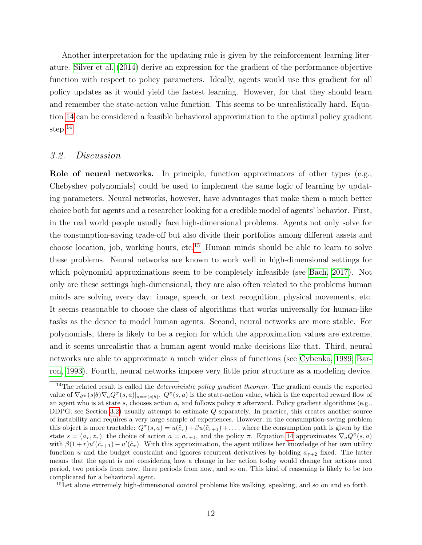Another interpretation for the updating rule is given by the reinforcement learning literature. [Silver et al. \(2014\)](#page-44-9) derive an expression for the gradient of the performance objective function with respect to policy parameters. Ideally, agents would use this gradient for all policy updates as it would yield the fastest learning. However, for that they should learn and remember the state-action value function. This seems to be unrealistically hard. Equation [14](#page-11-2) can be considered a feasible behavioral approximation to the optimal policy gradient step.<sup>[14](#page-12-1)</sup>

### 3.2. Discussion

<span id="page-12-0"></span>Role of neural networks. In principle, function approximators of other types (e.g., Chebyshev polynomials) could be used to implement the same logic of learning by updating parameters. Neural networks, however, have advantages that make them a much better choice both for agents and a researcher looking for a credible model of agents' behavior. First, in the real world people usually face high-dimensional problems. Agents not only solve for the consumption-saving trade-off but also divide their portfolios among different assets and choose location, job, working hours, etc.<sup>[15](#page-12-2)</sup> Human minds should be able to learn to solve these problems. Neural networks are known to work well in high-dimensional settings for which polynomial approximations seem to be completely infeasible (see [Bach, 2017\)](#page-40-5). Not only are these settings high-dimensional, they are also often related to the problems human minds are solving every day: image, speech, or text recognition, physical movements, etc. It seems reasonable to choose the class of algorithms that works universally for human-like tasks as the device to model human agents. Second, neural networks are more stable. For polynomials, there is likely to be a region for which the approximation values are extreme, and it seems unrealistic that a human agent would make decisions like that. Third, neural networks are able to approximate a much wider class of functions (see [Cybenko, 1989;](#page-41-8) [Bar](#page-40-6)[ron, 1993\)](#page-40-6). Fourth, neural networks impose very little prior structure as a modeling device.

<span id="page-12-2"></span><sup>15</sup>Let alone extremely high-dimensional control problems like walking, speaking, and so on and so forth.

<span id="page-12-1"></span><sup>&</sup>lt;sup>14</sup>The related result is called the *deterministic policy gradient theorem*. The gradient equals the expected value of  $\nabla_{\theta} \pi(s|\theta) \nabla_a Q^{\pi}(s, a)|_{a=\pi(s|\theta)}$ .  $Q^{\pi}(s, a)$  is the state-action value, which is the expected reward flow of an agent who is at state s, chooses action a, and follows policy  $\pi$  afterward. Policy gradient algorithms (e.g., DDPG; see Section [3.2\)](#page-15-0) usually attempt to estimate Q separately. In practice, this creates another source of instability and requires a very large sample of experiences. However, in the consumption-saving problem this object is more tractable:  $Q^{\pi}(s, a) = u(\tilde{c}_{\tau}) + \beta u(\tilde{c}_{\tau+1}) + \ldots$ , where the consumption path is given by the state  $s = (a_{\tau}, z_{\tau})$ , the choice of action  $a = a_{\tau+1}$ , and the policy  $\pi$ . Equation [14](#page-11-2) approximates  $\nabla_a Q^{\pi}(s, a)$ with  $\beta(1+r)u'(\tilde{c}_{\tau+1}) - u'(\tilde{c}_{\tau}).$  With this approximation, the agent utilizes her knowledge of her own utility function u and the budget constraint and ignores recurrent derivatives by holding  $a_{\tau+2}$  fixed. The latter means that the agent is not considering how a change in her action today would change her actions next period, two periods from now, three periods from now, and so on. This kind of reasoning is likely to be too complicated for a behavioral agent.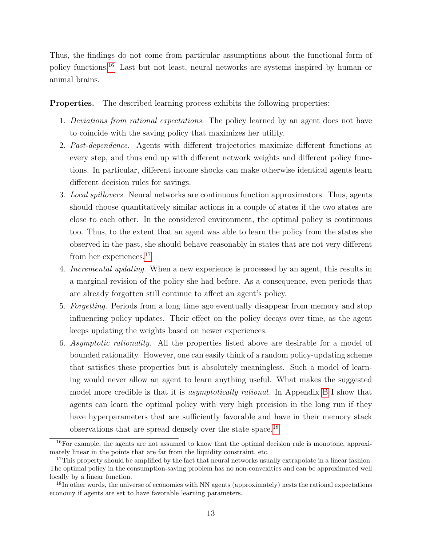Thus, the findings do not come from particular assumptions about the functional form of policy functions.[16](#page-13-0) Last but not least, neural networks are systems inspired by human or animal brains.

<span id="page-13-3"></span>Properties. The described learning process exhibits the following properties:

- 1. Deviations from rational expectations. The policy learned by an agent does not have to coincide with the saving policy that maximizes her utility.
- 2. Past-dependence. Agents with different trajectories maximize different functions at every step, and thus end up with different network weights and different policy functions. In particular, different income shocks can make otherwise identical agents learn different decision rules for savings.
- 3. Local spillovers. Neural networks are continuous function approximators. Thus, agents should choose quantitatively similar actions in a couple of states if the two states are close to each other. In the considered environment, the optimal policy is continuous too. Thus, to the extent that an agent was able to learn the policy from the states she observed in the past, she should behave reasonably in states that are not very different from her experiences.<sup>[17](#page-13-1)</sup>
- 4. Incremental updating. When a new experience is processed by an agent, this results in a marginal revision of the policy she had before. As a consequence, even periods that are already forgotten still continue to affect an agent's policy.
- 5. Forgetting. Periods from a long time ago eventually disappear from memory and stop influencing policy updates. Their effect on the policy decays over time, as the agent keeps updating the weights based on newer experiences.
- 6. Asymptotic rationality. All the properties listed above are desirable for a model of bounded rationality. However, one can easily think of a random policy-updating scheme that satisfies these properties but is absolutely meaningless. Such a model of learning would never allow an agent to learn anything useful. What makes the suggested model more credible is that it is *asymptotically rational*. In Appendix [B](#page-46-0) I show that agents can learn the optimal policy with very high precision in the long run if they have hyperparameters that are sufficiently favorable and have in their memory stack observations that are spread densely over the state space.[18](#page-13-2)

<span id="page-13-0"></span> $16$ For example, the agents are not assumed to know that the optimal decision rule is monotone, approximately linear in the points that are far from the liquidity constraint, etc.

<span id="page-13-1"></span><sup>&</sup>lt;sup>17</sup>This property should be amplified by the fact that neural networks usually extrapolate in a linear fashion. The optimal policy in the consumption-saving problem has no non-convexities and can be approximated well locally by a linear function.

<span id="page-13-2"></span> $18$ In other words, the universe of economies with NN agents (approximately) nests the rational expectations economy if agents are set to have favorable learning parameters.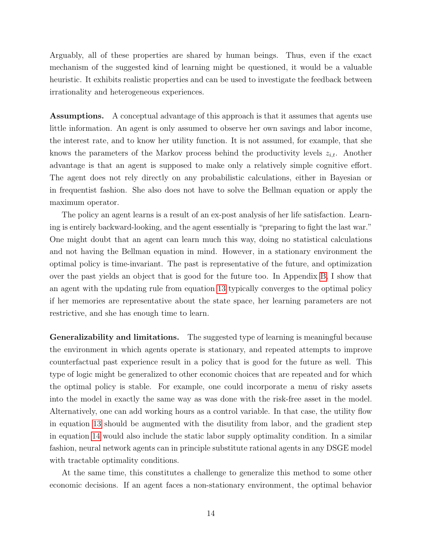Arguably, all of these properties are shared by human beings. Thus, even if the exact mechanism of the suggested kind of learning might be questioned, it would be a valuable heuristic. It exhibits realistic properties and can be used to investigate the feedback between irrationality and heterogeneous experiences.

Assumptions. A conceptual advantage of this approach is that it assumes that agents use little information. An agent is only assumed to observe her own savings and labor income, the interest rate, and to know her utility function. It is not assumed, for example, that she knows the parameters of the Markov process behind the productivity levels  $z_{i,t}$ . Another advantage is that an agent is supposed to make only a relatively simple cognitive effort. The agent does not rely directly on any probabilistic calculations, either in Bayesian or in frequentist fashion. She also does not have to solve the Bellman equation or apply the maximum operator.

The policy an agent learns is a result of an ex-post analysis of her life satisfaction. Learning is entirely backward-looking, and the agent essentially is "preparing to fight the last war." One might doubt that an agent can learn much this way, doing no statistical calculations and not having the Bellman equation in mind. However, in a stationary environment the optimal policy is time-invariant. The past is representative of the future, and optimization over the past yields an object that is good for the future too. In Appendix [B,](#page-46-0) I show that an agent with the updating rule from equation [13](#page-10-2) typically converges to the optimal policy if her memories are representative about the state space, her learning parameters are not restrictive, and she has enough time to learn.

Generalizability and limitations. The suggested type of learning is meaningful because the environment in which agents operate is stationary, and repeated attempts to improve counterfactual past experience result in a policy that is good for the future as well. This type of logic might be generalized to other economic choices that are repeated and for which the optimal policy is stable. For example, one could incorporate a menu of risky assets into the model in exactly the same way as was done with the risk-free asset in the model. Alternatively, one can add working hours as a control variable. In that case, the utility flow in equation [13](#page-10-2) should be augmented with the disutility from labor, and the gradient step in equation [14](#page-11-2) would also include the static labor supply optimality condition. In a similar fashion, neural network agents can in principle substitute rational agents in any DSGE model with tractable optimality conditions.

At the same time, this constitutes a challenge to generalize this method to some other economic decisions. If an agent faces a non-stationary environment, the optimal behavior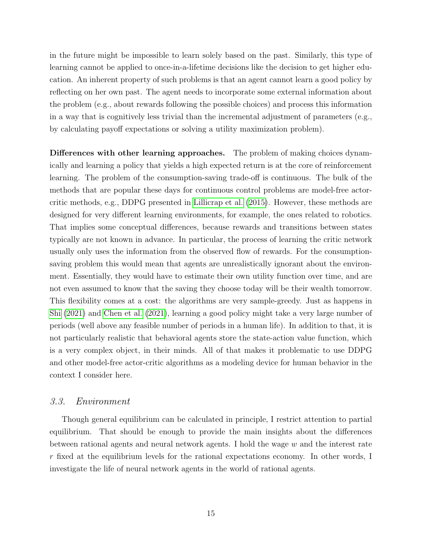in the future might be impossible to learn solely based on the past. Similarly, this type of learning cannot be applied to once-in-a-lifetime decisions like the decision to get higher education. An inherent property of such problems is that an agent cannot learn a good policy by reflecting on her own past. The agent needs to incorporate some external information about the problem (e.g., about rewards following the possible choices) and process this information in a way that is cognitively less trivial than the incremental adjustment of parameters (e.g., by calculating payoff expectations or solving a utility maximization problem).

<span id="page-15-0"></span>Differences with other learning approaches. The problem of making choices dynamically and learning a policy that yields a high expected return is at the core of reinforcement learning. The problem of the consumption-saving trade-off is continuous. The bulk of the methods that are popular these days for continuous control problems are model-free actorcritic methods, e.g., DDPG presented in [Lillicrap et al. \(2015\)](#page-43-8). However, these methods are designed for very different learning environments, for example, the ones related to robotics. That implies some conceptual differences, because rewards and transitions between states typically are not known in advance. In particular, the process of learning the critic network usually only uses the information from the observed flow of rewards. For the consumptionsaving problem this would mean that agents are unrealistically ignorant about the environment. Essentially, they would have to estimate their own utility function over time, and are not even assumed to know that the saving they choose today will be their wealth tomorrow. This flexibility comes at a cost: the algorithms are very sample-greedy. Just as happens in [Shi \(2021\)](#page-44-1) and [Chen et al. \(2021\)](#page-41-5), learning a good policy might take a very large number of periods (well above any feasible number of periods in a human life). In addition to that, it is not particularly realistic that behavioral agents store the state-action value function, which is a very complex object, in their minds. All of that makes it problematic to use DDPG and other model-free actor-critic algorithms as a modeling device for human behavior in the context I consider here.

#### 3.3. Environment

Though general equilibrium can be calculated in principle, I restrict attention to partial equilibrium. That should be enough to provide the main insights about the differences between rational agents and neural network agents. I hold the wage w and the interest rate r fixed at the equilibrium levels for the rational expectations economy. In other words, I investigate the life of neural network agents in the world of rational agents.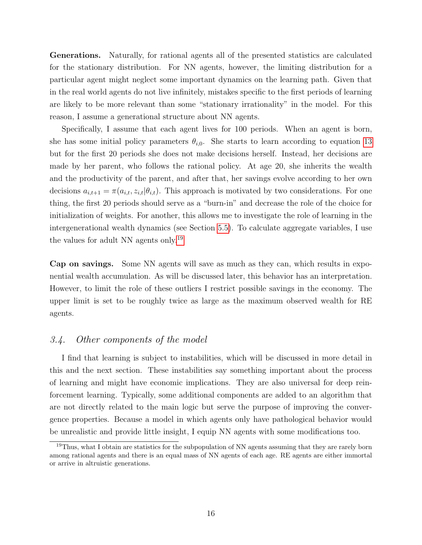Generations. Naturally, for rational agents all of the presented statistics are calculated for the stationary distribution. For NN agents, however, the limiting distribution for a particular agent might neglect some important dynamics on the learning path. Given that in the real world agents do not live infinitely, mistakes specific to the first periods of learning are likely to be more relevant than some "stationary irrationality" in the model. For this reason, I assume a generational structure about NN agents.

Specifically, I assume that each agent lives for 100 periods. When an agent is born, she has some initial policy parameters  $\theta_{i,0}$ . She starts to learn according to equation [13](#page-10-2) but for the first 20 periods she does not make decisions herself. Instead, her decisions are made by her parent, who follows the rational policy. At age 20, she inherits the wealth and the productivity of the parent, and after that, her savings evolve according to her own decisions  $a_{i,t+1} = \pi(a_{i,t}, z_{i,t} | \theta_{i,t})$ . This approach is motivated by two considerations. For one thing, the first 20 periods should serve as a "burn-in" and decrease the role of the choice for initialization of weights. For another, this allows me to investigate the role of learning in the intergenerational wealth dynamics (see Section [5.5\)](#page-36-0). To calculate aggregate variables, I use the values for adult NN agents only.[19](#page-16-0)

Cap on savings. Some NN agents will save as much as they can, which results in exponential wealth accumulation. As will be discussed later, this behavior has an interpretation. However, to limit the role of these outliers I restrict possible savings in the economy. The upper limit is set to be roughly twice as large as the maximum observed wealth for RE agents.

### 3.4. Other components of the model

I find that learning is subject to instabilities, which will be discussed in more detail in this and the next section. These instabilities say something important about the process of learning and might have economic implications. They are also universal for deep reinforcement learning. Typically, some additional components are added to an algorithm that are not directly related to the main logic but serve the purpose of improving the convergence properties. Because a model in which agents only have pathological behavior would be unrealistic and provide little insight, I equip NN agents with some modifications too.

<span id="page-16-0"></span><sup>&</sup>lt;sup>19</sup>Thus, what I obtain are statistics for the subpopulation of NN agents assuming that they are rarely born among rational agents and there is an equal mass of NN agents of each age. RE agents are either immortal or arrive in altruistic generations.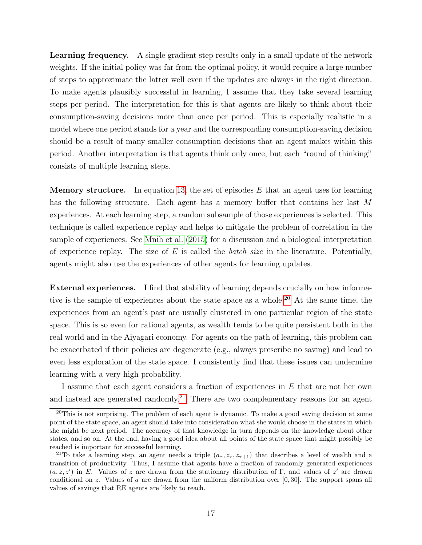Learning frequency. A single gradient step results only in a small update of the network weights. If the initial policy was far from the optimal policy, it would require a large number of steps to approximate the latter well even if the updates are always in the right direction. To make agents plausibly successful in learning, I assume that they take several learning steps per period. The interpretation for this is that agents are likely to think about their consumption-saving decisions more than once per period. This is especially realistic in a model where one period stands for a year and the corresponding consumption-saving decision should be a result of many smaller consumption decisions that an agent makes within this period. Another interpretation is that agents think only once, but each "round of thinking" consists of multiple learning steps.

<span id="page-17-0"></span>**Memory structure.** In equation [13,](#page-10-2) the set of episodes  $E$  that an agent uses for learning has the following structure. Each agent has a memory buffer that contains her last M experiences. At each learning step, a random subsample of those experiences is selected. This technique is called experience replay and helps to mitigate the problem of correlation in the sample of experiences. See [Mnih et al. \(2015\)](#page-43-9) for a discussion and a biological interpretation of experience replay. The size of  $E$  is called the *batch size* in the literature. Potentially, agents might also use the experiences of other agents for learning updates.

External experiences. I find that stability of learning depends crucially on how informative is the sample of experiences about the state space as a whole.[20](#page-17-1) At the same time, the experiences from an agent's past are usually clustered in one particular region of the state space. This is so even for rational agents, as wealth tends to be quite persistent both in the real world and in the Aiyagari economy. For agents on the path of learning, this problem can be exacerbated if their policies are degenerate (e.g., always prescribe no saving) and lead to even less exploration of the state space. I consistently find that these issues can undermine learning with a very high probability.

I assume that each agent considers a fraction of experiences in E that are not her own and instead are generated randomly.<sup>[21](#page-17-2)</sup> There are two complementary reasons for an agent

<span id="page-17-1"></span> $20$ This is not surprising. The problem of each agent is dynamic. To make a good saving decision at some point of the state space, an agent should take into consideration what she would choose in the states in which she might be next period. The accuracy of that knowledge in turn depends on the knowledge about other states, and so on. At the end, having a good idea about all points of the state space that might possibly be reached is important for successful learning.

<span id="page-17-2"></span><sup>&</sup>lt;sup>21</sup>To take a learning step, an agent needs a triple  $(a_{\tau}, z_{\tau}, z_{\tau+1})$  that describes a level of wealth and a transition of productivity. Thus, I assume that agents have a fraction of randomly generated experiences  $(a, z, z')$  in E. Values of z are drawn from the stationary distribution of Γ, and values of z' are drawn conditional on z. Values of a are drawn from the uniform distribution over  $[0, 30]$ . The support spans all values of savings that RE agents are likely to reach.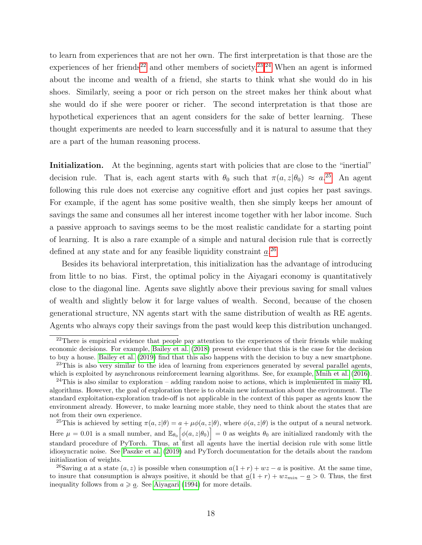to learn from experiences that are not her own. The first interpretation is that those are the experiences of her friends<sup>[22](#page-18-0)</sup> and other members of society.<sup>[23](#page-18-1),[24](#page-18-2)</sup> When an agent is informed about the income and wealth of a friend, she starts to think what she would do in his shoes. Similarly, seeing a poor or rich person on the street makes her think about what she would do if she were poorer or richer. The second interpretation is that those are hypothetical experiences that an agent considers for the sake of better learning. These thought experiments are needed to learn successfully and it is natural to assume that they are a part of the human reasoning process.

Initialization. At the beginning, agents start with policies that are close to the "inertial" decision rule. That is, each agent starts with  $\theta_0$  such that  $\pi(a, z | \theta_0) \approx a^{25}$  $\pi(a, z | \theta_0) \approx a^{25}$  $\pi(a, z | \theta_0) \approx a^{25}$ . An agent following this rule does not exercise any cognitive effort and just copies her past savings. For example, if the agent has some positive wealth, then she simply keeps her amount of savings the same and consumes all her interest income together with her labor income. Such a passive approach to savings seems to be the most realistic candidate for a starting point of learning. It is also a rare example of a simple and natural decision rule that is correctly defined at any state and for any feasible liquidity constraint  $a^{26}$  $a^{26}$  $a^{26}$ 

Besides its behavioral interpretation, this initialization has the advantage of introducing from little to no bias. First, the optimal policy in the Aiyagari economy is quantitatively close to the diagonal line. Agents save slightly above their previous saving for small values of wealth and slightly below it for large values of wealth. Second, because of the chosen generational structure, NN agents start with the same distribution of wealth as RE agents. Agents who always copy their savings from the past would keep this distribution unchanged.

<span id="page-18-0"></span><sup>&</sup>lt;sup>22</sup>There is empirical evidence that people pay attention to the experiences of their friends while making economic decisions. For example, [Bailey et al. \(2018\)](#page-40-7) present evidence that this is the case for the decision to buy a house. [Bailey et al. \(2019\)](#page-40-8) find that this also happens with the decision to buy a new smartphone.

<span id="page-18-1"></span><sup>&</sup>lt;sup>23</sup>This is also very similar to the idea of learning from experiences generated by several parallel agents, which is exploited by asynchronous reinforcement learning algorithms. See, for example, [Mnih et al. \(2016\)](#page-43-10).

<span id="page-18-2"></span> $^{24}$ This is also similar to exploration – adding random noise to actions, which is implemented in many RL algorithms. However, the goal of exploration there is to obtain new information about the environment. The standard exploitation-exploration trade-off is not applicable in the context of this paper as agents know the environment already. However, to make learning more stable, they need to think about the states that are not from their own experience.

<span id="page-18-3"></span><sup>&</sup>lt;sup>25</sup>This is achieved by setting  $\pi(a, z|\theta) = a + \mu \phi(a, z|\theta)$ , where  $\phi(a, z|\theta)$  is the output of a neural network. Here  $\mu = 0.01$  is a small number, and  $\mathbb{E}_{\theta_0} \Big[ \phi(a, z | \theta_0) \Big] = 0$  as weights  $\theta_0$  are initialized randomly with the standard procedure of PyTorch. Thus, at first all agents have the inertial decision rule with some little idiosyncratic noise. See [Paszke et al. \(2019\)](#page-43-11) and PyTorch documentation for the details about the random initialization of weights.

<span id="page-18-4"></span><sup>&</sup>lt;sup>26</sup>Saving a at a state  $(a, z)$  is possible when consumption  $a(1+r) + wz - a$  is positive. At the same time, to insure that consumption is always positive, it should be that  $a(1 + r) + wz_{min} - a > 0$ . Thus, the first inequality follows from  $a \geq a$ . See [Aiyagari \(1994\)](#page-40-0) for more details.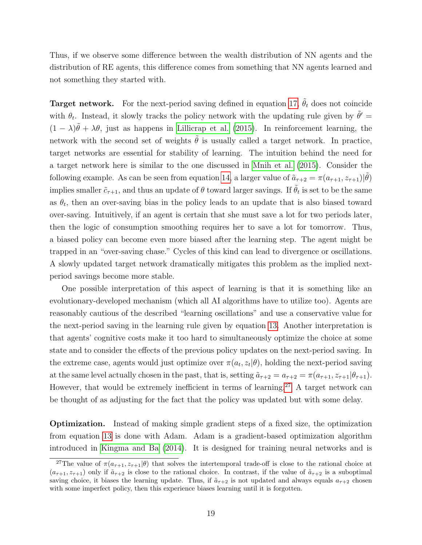Thus, if we observe some difference between the wealth distribution of NN agents and the distribution of RE agents, this difference comes from something that NN agents learned and not something they started with.

<span id="page-19-1"></span>**Target network.** For the next-period saving defined in equation [17,](#page-11-3)  $\tilde{\theta}_t$  does not coincide with  $\theta_t$ . Instead, it slowly tracks the policy network with the updating rule given by  $\tilde{\theta}'$  $(1 - \lambda)\tilde{\theta} + \lambda\theta$ , just as happens in [Lillicrap et al. \(2015\)](#page-43-8). In reinforcement learning, the network with the second set of weights  $\tilde{\theta}$  is usually called a target network. In practice, target networks are essential for stability of learning. The intuition behind the need for a target network here is similar to the one discussed in [Mnih et al. \(2015\)](#page-43-9). Consider the following example. As can be seen from equation [14,](#page-11-2) a larger value of  $\tilde{a}_{\tau+2} = \pi(a_{\tau+1}, z_{\tau+1})|\tilde{\theta}$ ) implies smaller  $\tilde{c}_{\tau+1}$ , and thus an update of  $\theta$  toward larger savings. If  $\tilde{\theta}_t$  is set to be the same as  $\theta_t$ , then an over-saving bias in the policy leads to an update that is also biased toward over-saving. Intuitively, if an agent is certain that she must save a lot for two periods later, then the logic of consumption smoothing requires her to save a lot for tomorrow. Thus, a biased policy can become even more biased after the learning step. The agent might be trapped in an "over-saving chase." Cycles of this kind can lead to divergence or oscillations. A slowly updated target network dramatically mitigates this problem as the implied nextperiod savings become more stable.

One possible interpretation of this aspect of learning is that it is something like an evolutionary-developed mechanism (which all AI algorithms have to utilize too). Agents are reasonably cautious of the described "learning oscillations" and use a conservative value for the next-period saving in the learning rule given by equation [13.](#page-10-2) Another interpretation is that agents' cognitive costs make it too hard to simultaneously optimize the choice at some state and to consider the effects of the previous policy updates on the next-period saving. In the extreme case, agents would just optimize over  $\pi(a_t, z_t | \theta)$ , holding the next-period saving at the same level actually chosen in the past, that is, setting  $\tilde{a}_{\tau+2} = a_{\tau+2} = \pi(a_{\tau+1}, z_{\tau+1} | \theta_{\tau+1}).$ However, that would be extremely inefficient in terms of learning.<sup>[27](#page-19-0)</sup> A target network can be thought of as adjusting for the fact that the policy was updated but with some delay.

Optimization. Instead of making simple gradient steps of a fixed size, the optimization from equation [13](#page-10-2) is done with Adam. Adam is a gradient-based optimization algorithm introduced in [Kingma and Ba \(2014\)](#page-42-10). It is designed for training neural networks and is

<span id="page-19-0"></span><sup>&</sup>lt;sup>27</sup>The value of  $\pi(a_{\tau+1}, z_{\tau+1}|\theta)$  that solves the intertemporal trade-off is close to the rational choice at  $(a_{\tau+1}, z_{\tau+1})$  only if  $\tilde{a}_{\tau+2}$  is close to the rational choice. In contrast, if the value of  $\tilde{a}_{\tau+2}$  is a suboptimal saving choice, it biases the learning update. Thus, if  $\tilde{a}_{\tau+2}$  is not updated and always equals  $a_{\tau+2}$  chosen with some imperfect policy, then this experience biases learning until it is forgotten.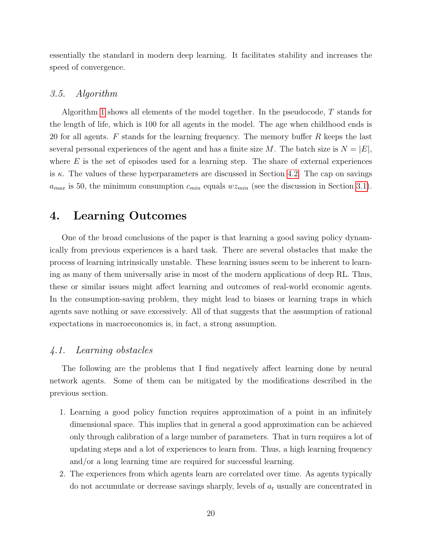essentially the standard in modern deep learning. It facilitates stability and increases the speed of convergence.

### 3.5. Algorithm

Algorithm [1](#page-21-0) shows all elements of the model together. In the pseudocode, T stands for the length of life, which is 100 for all agents in the model. The age when childhood ends is 20 for all agents.  $F$  stands for the learning frequency. The memory buffer  $R$  keeps the last several personal experiences of the agent and has a finite size M. The batch size is  $N = |E|$ , where  $E$  is the set of episodes used for a learning step. The share of external experiences is  $\kappa$ . The values of these hyperparameters are discussed in Section [4.2.](#page-23-0) The cap on savings  $a_{max}$  is 50, the minimum consumption  $c_{min}$  equals  $wz_{min}$  (see the discussion in Section [3.1\)](#page-10-3).

# <span id="page-20-0"></span>4. Learning Outcomes

One of the broad conclusions of the paper is that learning a good saving policy dynamically from previous experiences is a hard task. There are several obstacles that make the process of learning intrinsically unstable. These learning issues seem to be inherent to learning as many of them universally arise in most of the modern applications of deep RL. Thus, these or similar issues might affect learning and outcomes of real-world economic agents. In the consumption-saving problem, they might lead to biases or learning traps in which agents save nothing or save excessively. All of that suggests that the assumption of rational expectations in macroeconomics is, in fact, a strong assumption.

### 4.1. Learning obstacles

The following are the problems that I find negatively affect learning done by neural network agents. Some of them can be mitigated by the modifications described in the previous section.

- 1. Learning a good policy function requires approximation of a point in an infinitely dimensional space. This implies that in general a good approximation can be achieved only through calibration of a large number of parameters. That in turn requires a lot of updating steps and a lot of experiences to learn from. Thus, a high learning frequency and/or a long learning time are required for successful learning.
- 2. The experiences from which agents learn are correlated over time. As agents typically do not accumulate or decrease savings sharply, levels of  $a_t$  usually are concentrated in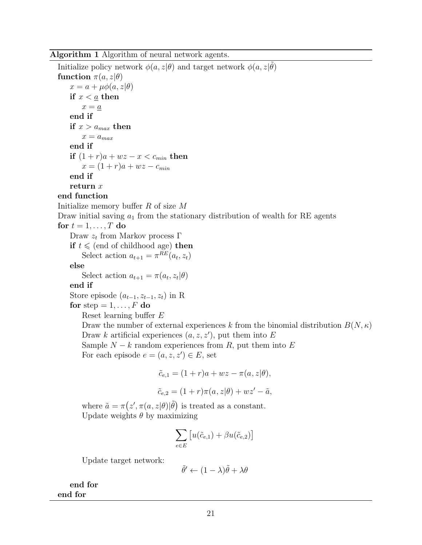#### Algorithm 1 Algorithm of neural network agents.

<span id="page-21-0"></span>Initialize policy network  $\phi(a, z | \theta)$  and target network  $\phi(a, z | \tilde{\theta})$ function  $\pi(a, z | \theta)$  $x = a + \mu \phi(a, z | \theta)$ if  $x < \underline{a}$  then  $x = \underline{a}$ end if if  $x > a_{max}$  then  $x = a_{max}$ end if if  $(1+r)a+wz-x < c_{min}$  then  $x = (1 + r)a + wz - c_{min}$ end if return x end function Initialize memory buffer  $R$  of size  $M$ Draw initial saving  $a_1$  from the stationary distribution of wealth for RE agents for  $t = 1, \ldots, T$  do Draw  $z_t$  from Markov process  $\Gamma$ if  $t \n\leq$  (end of childhood age) then Select action  $a_{t+1} = \pi^{RE}(a_t, z_t)$ else Select action  $a_{t+1} = \pi(a_t, z_t | \theta)$ end if Store episode  $(a_{t-1}, z_{t-1}, z_t)$  in R for step  $= 1, \ldots, F$  do Reset learning buffer E Draw the number of external experiences k from the binomial distribution  $B(N, \kappa)$ Draw k artificial experiences  $(a, z, z')$ , put them into E Sample  $N - k$  random experiences from R, put them into E For each episode  $e = (a, z, z') \in E$ , set  $\tilde{c}_{e,1} = (1+r)a + wz - \pi(a,z|\theta),$  $\tilde{c}_{e}$ ,  $= (1 + r)\pi(a, z|\theta) + wz' - \tilde{a}$ , where  $\tilde{a} = \pi(z', \pi(a, z | \theta) | \tilde{\theta})$  is treated as a constant. Update weights  $\theta$  by maximizing  $\sum$  $\left[u(\tilde{c}_{e,1}) + \beta u(\tilde{c}_{e,2})\right]$ 

Update target network:

$$
\tilde{\theta}' \leftarrow (1-\lambda)\tilde{\theta} + \lambda \theta
$$

e∈E

end for end for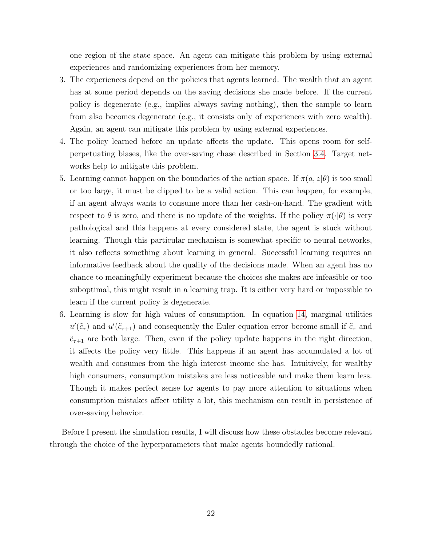one region of the state space. An agent can mitigate this problem by using external experiences and randomizing experiences from her memory.

- 3. The experiences depend on the policies that agents learned. The wealth that an agent has at some period depends on the saving decisions she made before. If the current policy is degenerate (e.g., implies always saving nothing), then the sample to learn from also becomes degenerate (e.g., it consists only of experiences with zero wealth). Again, an agent can mitigate this problem by using external experiences.
- 4. The policy learned before an update affects the update. This opens room for selfperpetuating biases, like the over-saving chase described in Section [3.4.](#page-19-1) Target networks help to mitigate this problem.
- 5. Learning cannot happen on the boundaries of the action space. If  $\pi(a, z|\theta)$  is too small or too large, it must be clipped to be a valid action. This can happen, for example, if an agent always wants to consume more than her cash-on-hand. The gradient with respect to  $\theta$  is zero, and there is no update of the weights. If the policy  $\pi(\cdot|\theta)$  is very pathological and this happens at every considered state, the agent is stuck without learning. Though this particular mechanism is somewhat specific to neural networks, it also reflects something about learning in general. Successful learning requires an informative feedback about the quality of the decisions made. When an agent has no chance to meaningfully experiment because the choices she makes are infeasible or too suboptimal, this might result in a learning trap. It is either very hard or impossible to learn if the current policy is degenerate.
- 6. Learning is slow for high values of consumption. In equation [14,](#page-11-2) marginal utilities  $u'(\tilde{c}_{\tau})$  and  $u'(\tilde{c}_{\tau+1})$  and consequently the Euler equation error become small if  $\tilde{c}_{\tau}$  and  $\tilde{c}_{\tau+1}$  are both large. Then, even if the policy update happens in the right direction, it affects the policy very little. This happens if an agent has accumulated a lot of wealth and consumes from the high interest income she has. Intuitively, for wealthy high consumers, consumption mistakes are less noticeable and make them learn less. Though it makes perfect sense for agents to pay more attention to situations when consumption mistakes affect utility a lot, this mechanism can result in persistence of over-saving behavior.

Before I present the simulation results, I will discuss how these obstacles become relevant through the choice of the hyperparameters that make agents boundedly rational.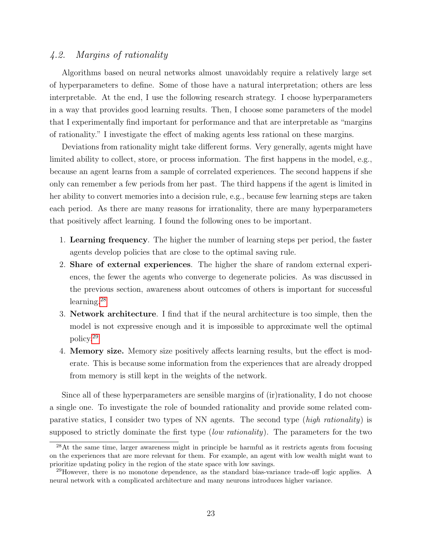### <span id="page-23-0"></span>4.2. Margins of rationality

Algorithms based on neural networks almost unavoidably require a relatively large set of hyperparameters to define. Some of those have a natural interpretation; others are less interpretable. At the end, I use the following research strategy. I choose hyperparameters in a way that provides good learning results. Then, I choose some parameters of the model that I experimentally find important for performance and that are interpretable as "margins of rationality." I investigate the effect of making agents less rational on these margins.

Deviations from rationality might take different forms. Very generally, agents might have limited ability to collect, store, or process information. The first happens in the model, e.g., because an agent learns from a sample of correlated experiences. The second happens if she only can remember a few periods from her past. The third happens if the agent is limited in her ability to convert memories into a decision rule, e.g., because few learning steps are taken each period. As there are many reasons for irrationality, there are many hyperparameters that positively affect learning. I found the following ones to be important.

- 1. Learning frequency. The higher the number of learning steps per period, the faster agents develop policies that are close to the optimal saving rule.
- 2. Share of external experiences. The higher the share of random external experiences, the fewer the agents who converge to degenerate policies. As was discussed in the previous section, awareness about outcomes of others is important for successful learning.[28](#page-23-1)
- 3. Network architecture. I find that if the neural architecture is too simple, then the model is not expressive enough and it is impossible to approximate well the optimal policy.[29](#page-23-2)
- 4. Memory size. Memory size positively affects learning results, but the effect is moderate. This is because some information from the experiences that are already dropped from memory is still kept in the weights of the network.

Since all of these hyperparameters are sensible margins of (ir)rationality, I do not choose a single one. To investigate the role of bounded rationality and provide some related comparative statics, I consider two types of NN agents. The second type (high rationality) is supposed to strictly dominate the first type (*low rationality*). The parameters for the two

<span id="page-23-1"></span><sup>&</sup>lt;sup>28</sup>At the same time, larger awareness might in principle be harmful as it restricts agents from focusing on the experiences that are more relevant for them. For example, an agent with low wealth might want to prioritize updating policy in the region of the state space with low savings.

<span id="page-23-2"></span> $^{29}$ However, there is no monotone dependence, as the standard bias-variance trade-off logic applies. A neural network with a complicated architecture and many neurons introduces higher variance.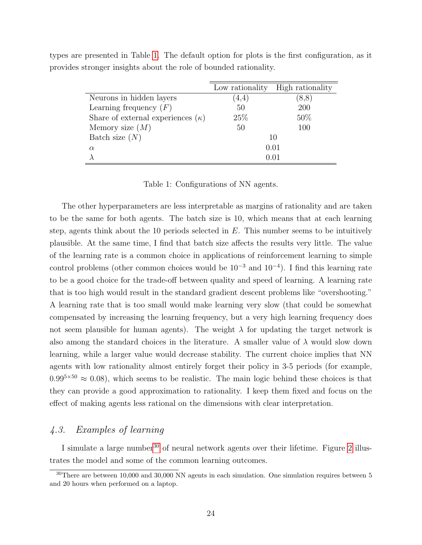|                                          |       | Low rationality High rationality |
|------------------------------------------|-------|----------------------------------|
| Neurons in hidden layers                 | (4,4) | $\left[8,8\right]$               |
| Learning frequency $(F)$                 | 50    | 200                              |
| Share of external experiences $(\kappa)$ | 25%   | 50%                              |
| Memory size $(M)$                        | 50    | 100                              |
| Batch size $(N)$                         |       | 10                               |
| $\alpha$                                 |       | 0.01                             |
|                                          |       | 0.01                             |

types are presented in Table [1.](#page-24-0) The default option for plots is the first configuration, as it provides stronger insights about the role of bounded rationality.

Table 1: Configurations of NN agents.

<span id="page-24-0"></span>The other hyperparameters are less interpretable as margins of rationality and are taken to be the same for both agents. The batch size is 10, which means that at each learning step, agents think about the 10 periods selected in  $E$ . This number seems to be intuitively plausible. At the same time, I find that batch size affects the results very little. The value of the learning rate is a common choice in applications of reinforcement learning to simple control problems (other common choices would be  $10^{-3}$  and  $10^{-4}$ ). I find this learning rate to be a good choice for the trade-off between quality and speed of learning. A learning rate that is too high would result in the standard gradient descent problems like "overshooting." A learning rate that is too small would make learning very slow (that could be somewhat compensated by increasing the learning frequency, but a very high learning frequency does not seem plausible for human agents). The weight  $\lambda$  for updating the target network is also among the standard choices in the literature. A smaller value of  $\lambda$  would slow down learning, while a larger value would decrease stability. The current choice implies that NN agents with low rationality almost entirely forget their policy in 3-5 periods (for example,  $0.99^{5\times50} \approx 0.08$ , which seems to be realistic. The main logic behind these choices is that they can provide a good approximation to rationality. I keep them fixed and focus on the effect of making agents less rational on the dimensions with clear interpretation.

### <span id="page-24-2"></span>4.3. Examples of learning

I simulate a large number<sup>[30](#page-24-1)</sup> of neural network agents over their lifetime. Figure [2](#page-25-0) illustrates the model and some of the common learning outcomes.

<span id="page-24-1"></span><sup>&</sup>lt;sup>30</sup>There are between 10,000 and 30,000 NN agents in each simulation. One simulation requires between 5 and 20 hours when performed on a laptop.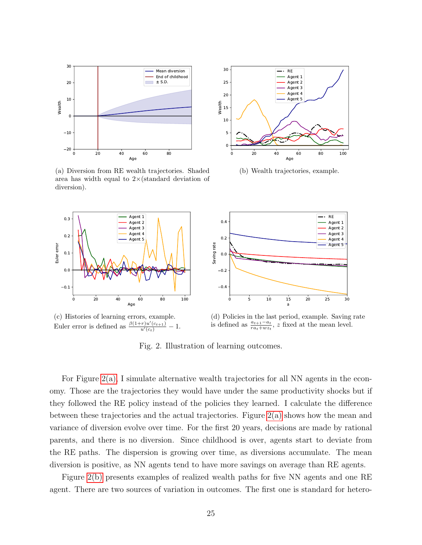<span id="page-25-1"></span>

(a) Diversion from RE wealth trajectories. Shaded area has width equal to  $2\times$  (standard deviation of diversion).



<span id="page-25-3"></span>(c) Histories of learning errors, example. Euler error is defined as  $\frac{\beta(1+r)u'(c_{t+1})}{u'(c_t)} - 1$ .



<span id="page-25-2"></span>(b) Wealth trajectories, example.



<span id="page-25-0"></span>(d) Policies in the last period, example. Saving rate is defined as  $\frac{a_{t+1}-a_t}{ra_t+wz_t}$ , z fixed at the mean level.

Fig. 2. Illustration of learning outcomes.

For Figure  $2(a)$ , I simulate alternative wealth trajectories for all NN agents in the economy. Those are the trajectories they would have under the same productivity shocks but if they followed the RE policy instead of the policies they learned. I calculate the difference between these trajectories and the actual trajectories. Figure [2\(a\)](#page-25-1) shows how the mean and variance of diversion evolve over time. For the first 20 years, decisions are made by rational parents, and there is no diversion. Since childhood is over, agents start to deviate from the RE paths. The dispersion is growing over time, as diversions accumulate. The mean diversion is positive, as NN agents tend to have more savings on average than RE agents.

Figure [2\(b\)](#page-25-2) presents examples of realized wealth paths for five NN agents and one RE agent. There are two sources of variation in outcomes. The first one is standard for hetero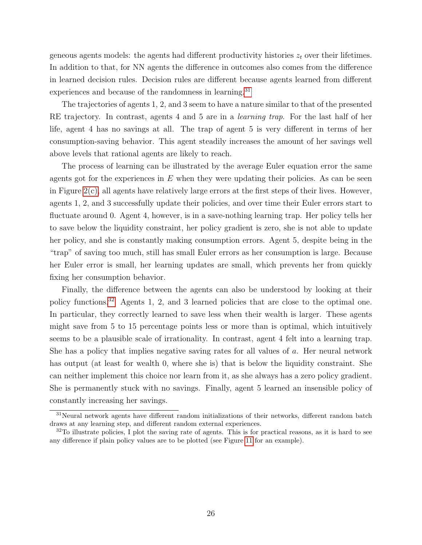geneous agents models: the agents had different productivity histories  $z_t$  over their lifetimes. In addition to that, for NN agents the difference in outcomes also comes from the difference in learned decision rules. Decision rules are different because agents learned from different experiences and because of the randomness in learning.<sup>[31](#page-26-0)</sup>

The trajectories of agents 1, 2, and 3 seem to have a nature similar to that of the presented RE trajectory. In contrast, agents 4 and 5 are in a learning trap. For the last half of her life, agent 4 has no savings at all. The trap of agent 5 is very different in terms of her consumption-saving behavior. This agent steadily increases the amount of her savings well above levels that rational agents are likely to reach.

The process of learning can be illustrated by the average Euler equation error the same agents got for the experiences in  $E$  when they were updating their policies. As can be seen in Figure  $2(c)$ , all agents have relatively large errors at the first steps of their lives. However, agents 1, 2, and 3 successfully update their policies, and over time their Euler errors start to fluctuate around 0. Agent 4, however, is in a save-nothing learning trap. Her policy tells her to save below the liquidity constraint, her policy gradient is zero, she is not able to update her policy, and she is constantly making consumption errors. Agent 5, despite being in the "trap" of saving too much, still has small Euler errors as her consumption is large. Because her Euler error is small, her learning updates are small, which prevents her from quickly fixing her consumption behavior.

Finally, the difference between the agents can also be understood by looking at their policy functions.[32](#page-26-1) Agents 1, 2, and 3 learned policies that are close to the optimal one. In particular, they correctly learned to save less when their wealth is larger. These agents might save from 5 to 15 percentage points less or more than is optimal, which intuitively seems to be a plausible scale of irrationality. In contrast, agent 4 felt into a learning trap. She has a policy that implies negative saving rates for all values of a. Her neural network has output (at least for wealth 0, where she is) that is below the liquidity constraint. She can neither implement this choice nor learn from it, as she always has a zero policy gradient. She is permanently stuck with no savings. Finally, agent 5 learned an insensible policy of constantly increasing her savings.

<span id="page-26-0"></span><sup>31</sup>Neural network agents have different random initializations of their networks, different random batch draws at any learning step, and different random external experiences.

<span id="page-26-1"></span> $32\text{To illustrate policies, I plot the saving rate of agents. This is for practical reasons, as it is hard to see.$ any difference if plain policy values are to be plotted (see Figure [11](#page-47-0) for an example).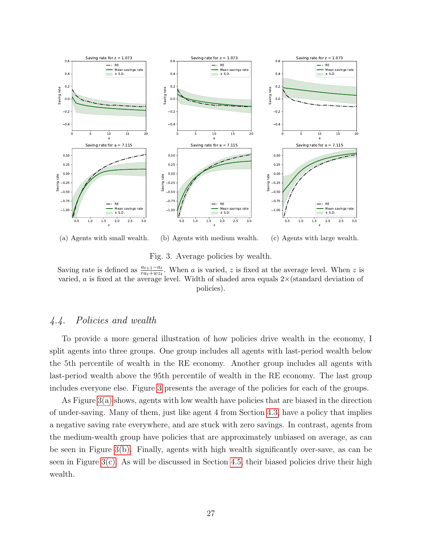<span id="page-27-1"></span>

(a) Agents with small wealth. (b) Agents with medium wealth. (c) Agents with large wealth.

<span id="page-27-3"></span><span id="page-27-2"></span><span id="page-27-0"></span>Fig. 3. Average policies by wealth.

Saving rate is defined as  $\frac{a_{t+1}-a_t}{ra_t+wz_t}$ . When a is varied, z is fixed at the average level. When z is varied, a is fixed at the average level. Width of shaded area equals  $2\times$  (standard deviation of policies).

### 4.4. Policies and wealth

To provide a more general illustration of how policies drive wealth in the economy, I split agents into three groups. One group includes all agents with last-period wealth below the 5th percentile of wealth in the RE economy. Another group includes all agents with last-period wealth above the 95th percentile of wealth in the RE economy. The last group includes everyone else. Figure [3](#page-27-0) presents the average of the policies for each of the groups.

As Figure [3\(a\)](#page-27-1) shows, agents with low wealth have policies that are biased in the direction of under-saving. Many of them, just like agent 4 from Section [4.3,](#page-24-2) have a policy that implies a negative saving rate everywhere, and are stuck with zero savings. In contrast, agents from the medium-wealth group have policies that are approximately unbiased on average, as can be seen in Figure [3\(b\).](#page-27-2) Finally, agents with high wealth significantly over-save, as can be seen in Figure  $3(c)$ . As will be discussed in Section [4.5,](#page-28-0) their biased policies drive their high wealth.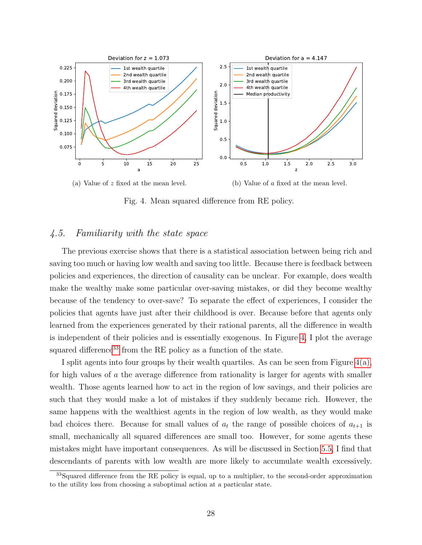<span id="page-28-3"></span>

<span id="page-28-4"></span><span id="page-28-1"></span>Fig. 4. Mean squared difference from RE policy.

### <span id="page-28-0"></span>4.5. Familiarity with the state space

The previous exercise shows that there is a statistical association between being rich and saving too much or having low wealth and saving too little. Because there is feedback between policies and experiences, the direction of causality can be unclear. For example, does wealth make the wealthy make some particular over-saving mistakes, or did they become wealthy because of the tendency to over-save? To separate the effect of experiences, I consider the policies that agents have just after their childhood is over. Because before that agents only learned from the experiences generated by their rational parents, all the difference in wealth is independent of their policies and is essentially exogenous. In Figure [4,](#page-28-1) I plot the average squared difference<sup>[33](#page-28-2)</sup> from the RE policy as a function of the state.

I split agents into four groups by their wealth quartiles. As can be seen from Figure  $4(a)$ , for high values of a the average difference from rationality is larger for agents with smaller wealth. Those agents learned how to act in the region of low savings, and their policies are such that they would make a lot of mistakes if they suddenly became rich. However, the same happens with the wealthiest agents in the region of low wealth, as they would make bad choices there. Because for small values of  $a_t$  the range of possible choices of  $a_{t+1}$  is small, mechanically all squared differences are small too. However, for some agents these mistakes might have important consequences. As will be discussed in Section [5.5,](#page-36-0) I find that descendants of parents with low wealth are more likely to accumulate wealth excessively.

<span id="page-28-2"></span><sup>&</sup>lt;sup>33</sup>Squared difference from the RE policy is equal, up to a multiplier, to the second-order approximation to the utility loss from choosing a suboptimal action at a particular state.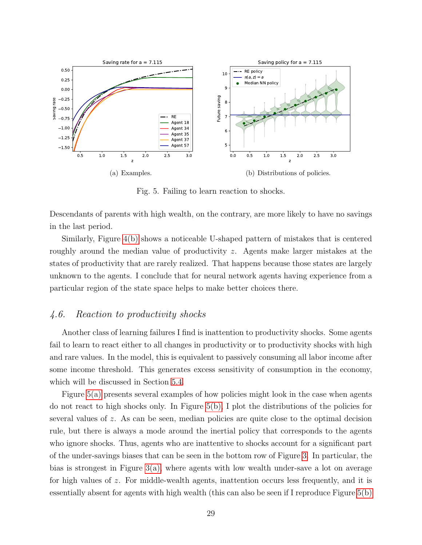<span id="page-29-0"></span>

<span id="page-29-1"></span>Fig. 5. Failing to learn reaction to shocks.

Descendants of parents with high wealth, on the contrary, are more likely to have no savings in the last period.

Similarly, Figure [4\(b\)](#page-28-4) shows a noticeable U-shaped pattern of mistakes that is centered roughly around the median value of productivity z. Agents make larger mistakes at the states of productivity that are rarely realized. That happens because those states are largely unknown to the agents. I conclude that for neural network agents having experience from a particular region of the state space helps to make better choices there.

### <span id="page-29-2"></span>4.6. Reaction to productivity shocks

Another class of learning failures I find is inattention to productivity shocks. Some agents fail to learn to react either to all changes in productivity or to productivity shocks with high and rare values. In the model, this is equivalent to passively consuming all labor income after some income threshold. This generates excess sensitivity of consumption in the economy, which will be discussed in Section [5.4.](#page-34-0)

Figure [5\(a\)](#page-29-0) presents several examples of how policies might look in the case when agents do not react to high shocks only. In Figure [5\(b\),](#page-29-1) I plot the distributions of the policies for several values of z. As can be seen, median policies are quite close to the optimal decision rule, but there is always a mode around the inertial policy that corresponds to the agents who ignore shocks. Thus, agents who are inattentive to shocks account for a significant part of the under-savings biases that can be seen in the bottom row of Figure [3.](#page-27-0) In particular, the bias is strongest in Figure  $3(a)$ , where agents with low wealth under-save a lot on average for high values of z. For middle-wealth agents, inattention occurs less frequently, and it is essentially absent for agents with high wealth (this can also be seen if I reproduce Figure [5\(b\)](#page-29-1)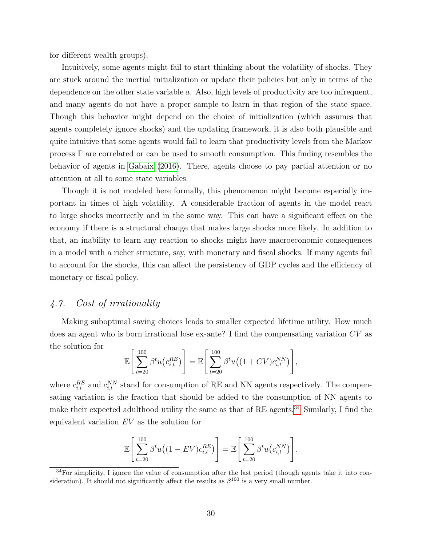for different wealth groups).

Intuitively, some agents might fail to start thinking about the volatility of shocks. They are stuck around the inertial initialization or update their policies but only in terms of the dependence on the other state variable a. Also, high levels of productivity are too infrequent, and many agents do not have a proper sample to learn in that region of the state space. Though this behavior might depend on the choice of initialization (which assumes that agents completely ignore shocks) and the updating framework, it is also both plausible and quite intuitive that some agents would fail to learn that productivity levels from the Markov process Γ are correlated or can be used to smooth consumption. This finding resembles the behavior of agents in [Gabaix \(2016\)](#page-42-4). There, agents choose to pay partial attention or no attention at all to some state variables.

Though it is not modeled here formally, this phenomenon might become especially important in times of high volatility. A considerable fraction of agents in the model react to large shocks incorrectly and in the same way. This can have a significant effect on the economy if there is a structural change that makes large shocks more likely. In addition to that, an inability to learn any reaction to shocks might have macroeconomic consequences in a model with a richer structure, say, with monetary and fiscal shocks. If many agents fail to account for the shocks, this can affect the persistency of GDP cycles and the efficiency of monetary or fiscal policy.

### 4.7. Cost of irrationality

Making suboptimal saving choices leads to smaller expected lifetime utility. How much does an agent who is born irrational lose ex-ante? I find the compensating variation CV as the solution for

$$
\mathbb{E}\left[\sum_{t=20}^{100} \beta^t u\left(c_{i,t}^{RE}\right)\right] = \mathbb{E}\left[\sum_{t=20}^{100} \beta^t u\left((1+CV)c_{i,t}^{NN}\right)\right],
$$

where  $c_{i,t}^{RE}$  and  $c_{i,t}^{NN}$  stand for consumption of RE and NN agents respectively. The compensating variation is the fraction that should be added to the consumption of NN agents to make their expected adulthood utility the same as that of RE agents.<sup>[34](#page-30-0)</sup> Similarly, I find the equivalent variation  $EV$  as the solution for

$$
\mathbb{E}\left[\sum_{t=20}^{100} \beta^t u\big((1-EV)c_{i,t}^{RE}\big)\right] = \mathbb{E}\left[\sum_{t=20}^{100} \beta^t u\big(c_{i,t}^{NN}\big)\right].
$$

<span id="page-30-0"></span> $34$ For simplicity, I ignore the value of consumption after the last period (though agents take it into consideration). It should not significantly affect the results as  $\beta^{100}$  is a very small number.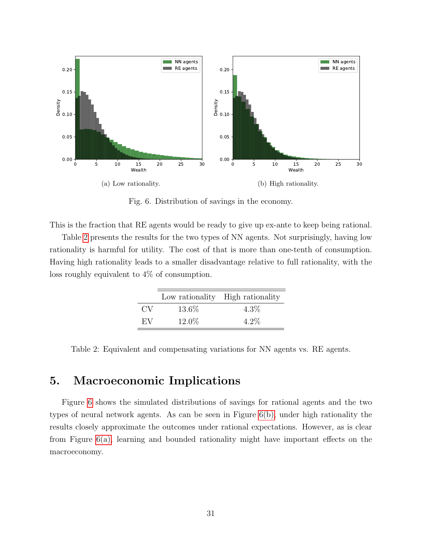<span id="page-31-4"></span>

<span id="page-31-3"></span><span id="page-31-2"></span>Fig. 6. Distribution of savings in the economy.

This is the fraction that RE agents would be ready to give up ex-ante to keep being rational.

Table [2](#page-31-1) presents the results for the two types of NN agents. Not surprisingly, having low rationality is harmful for utility. The cost of that is more than one-tenth of consumption. Having high rationality leads to a smaller disadvantage relative to full rationality, with the loss roughly equivalent to 4% of consumption.

|    |          | Low rationality High rationality |
|----|----------|----------------------------------|
| CV | $13.6\%$ | $4.3\%$                          |
| EV | $12.0\%$ | $4.2\%$                          |

<span id="page-31-1"></span>Table 2: Equivalent and compensating variations for NN agents vs. RE agents.

# <span id="page-31-0"></span>5. Macroeconomic Implications

Figure [6](#page-31-2) shows the simulated distributions of savings for rational agents and the two types of neural network agents. As can be seen in Figure [6\(b\),](#page-31-3) under high rationality the results closely approximate the outcomes under rational expectations. However, as is clear from Figure [6\(a\),](#page-31-4) learning and bounded rationality might have important effects on the macroeconomy.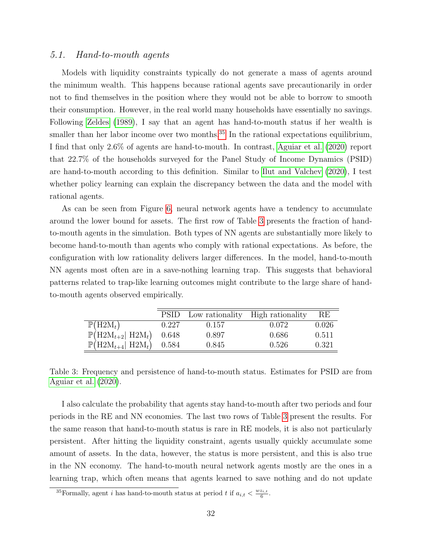### 5.1. Hand-to-mouth agents

Models with liquidity constraints typically do not generate a mass of agents around the minimum wealth. This happens because rational agents save precautionarily in order not to find themselves in the position where they would not be able to borrow to smooth their consumption. However, in the real world many households have essentially no savings. Following [Zeldes \(1989\)](#page-44-10), I say that an agent has hand-to-mouth status if her wealth is smaller than her labor income over two months.<sup>[35](#page-32-0)</sup> In the rational expectations equilibrium, I find that only 2.6% of agents are hand-to-mouth. In contrast, [Aguiar et al. \(2020\)](#page-40-9) report that 22.7% of the households surveyed for the Panel Study of Income Dynamics (PSID) are hand-to-mouth according to this definition. Similar to [Ilut and Valchev \(2020\)](#page-42-6), I test whether policy learning can explain the discrepancy between the data and the model with rational agents.

As can be seen from Figure [6,](#page-31-2) neural network agents have a tendency to accumulate around the lower bound for assets. The first row of Table [3](#page-32-1) presents the fraction of handto-mouth agents in the simulation. Both types of NN agents are substantially more likely to become hand-to-mouth than agents who comply with rational expectations. As before, the configuration with low rationality delivers larger differences. In the model, hand-to-mouth NN agents most often are in a save-nothing learning trap. This suggests that behavioral patterns related to trap-like learning outcomes might contribute to the large share of handto-mouth agents observed empirically.

|                                               | <b>PSID</b> |       | Low rationality High rationality | RE.   |
|-----------------------------------------------|-------------|-------|----------------------------------|-------|
| $\mathbb{P}(\text{H2M}_t)$                    | 0.227       | 0.157 | 0.072                            | 0.026 |
| $\mathbb{P}(\text{H2M}_{t+2} \text{H2M}_t)$   | 0.648       | 0.897 | 0.686                            | 0.511 |
| $\mathbb{P}(\text{H2M}_{t+4}   \text{H2M}_t)$ | 0.584       | 0.845 | 0.526                            | 0.321 |

<span id="page-32-1"></span>Table 3: Frequency and persistence of hand-to-mouth status. Estimates for PSID are from [Aguiar et al. \(2020\)](#page-40-9).

I also calculate the probability that agents stay hand-to-mouth after two periods and four periods in the RE and NN economies. The last two rows of Table [3](#page-32-1) present the results. For the same reason that hand-to-mouth status is rare in RE models, it is also not particularly persistent. After hitting the liquidity constraint, agents usually quickly accumulate some amount of assets. In the data, however, the status is more persistent, and this is also true in the NN economy. The hand-to-mouth neural network agents mostly are the ones in a learning trap, which often means that agents learned to save nothing and do not update

<span id="page-32-0"></span><sup>&</sup>lt;sup>35</sup>Formally, agent *i* has hand-to-mouth status at period *t* if  $a_{i,t} < \frac{w z_{i,t}}{6}$ .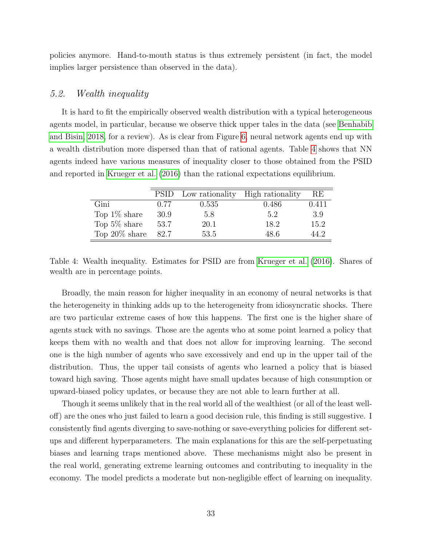policies anymore. Hand-to-mouth status is thus extremely persistent (in fact, the model implies larger persistence than observed in the data).

### 5.2. Wealth inequality

It is hard to fit the empirically observed wealth distribution with a typical heterogeneous agents model, in particular, because we observe thick upper tales in the data (see [Benhabib](#page-40-10) [and Bisin, 2018,](#page-40-10) for a review). As is clear from Figure [6,](#page-31-2) neural network agents end up with a wealth distribution more dispersed than that of rational agents. Table [4](#page-33-0) shows that NN agents indeed have various measures of inequality closer to those obtained from the PSID and reported in [Krueger et al. \(2016\)](#page-42-11) than the rational expectations equilibrium.

|                  | <b>PSID</b> | Low rationality High rationality |       | RE.   |
|------------------|-------------|----------------------------------|-------|-------|
| Gini             | 0.77        | 0.535                            | 0.486 | 0.411 |
| Top $1\%$ share  | 30.9        | 5.8                              | 5.2   | 3.9   |
| Top 5% share     | 53.7        | 20.1                             | 18.2  | 15.2  |
| Top $20\%$ share | 82.7        | 53.5                             | 48.6  | 44 2  |

<span id="page-33-0"></span>Table 4: Wealth inequality. Estimates for PSID are from [Krueger et al. \(2016\)](#page-42-11). Shares of wealth are in percentage points.

Broadly, the main reason for higher inequality in an economy of neural networks is that the heterogeneity in thinking adds up to the heterogeneity from idiosyncratic shocks. There are two particular extreme cases of how this happens. The first one is the higher share of agents stuck with no savings. Those are the agents who at some point learned a policy that keeps them with no wealth and that does not allow for improving learning. The second one is the high number of agents who save excessively and end up in the upper tail of the distribution. Thus, the upper tail consists of agents who learned a policy that is biased toward high saving. Those agents might have small updates because of high consumption or upward-biased policy updates, or because they are not able to learn further at all.

Though it seems unlikely that in the real world all of the wealthiest (or all of the least welloff) are the ones who just failed to learn a good decision rule, this finding is still suggestive. I consistently find agents diverging to save-nothing or save-everything policies for different setups and different hyperparameters. The main explanations for this are the self-perpetuating biases and learning traps mentioned above. These mechanisms might also be present in the real world, generating extreme learning outcomes and contributing to inequality in the economy. The model predicts a moderate but non-negligible effect of learning on inequality.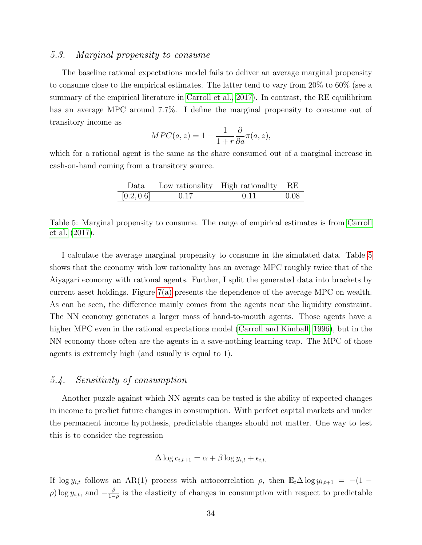#### 5.3. Marginal propensity to consume

The baseline rational expectations model fails to deliver an average marginal propensity to consume close to the empirical estimates. The latter tend to vary from 20% to 60% (see a summary of the empirical literature in [Carroll et al., 2017\)](#page-41-9). In contrast, the RE equilibrium has an average MPC around 7.7%. I define the marginal propensity to consume out of transitory income as

$$
MPC(a, z) = 1 - \frac{1}{1+r} \frac{\partial}{\partial a} \pi(a, z),
$$

which for a rational agent is the same as the share consumed out of a marginal increase in cash-on-hand coming from a transitory source.

| Data       |      | Low rationality High rationality RE |       |
|------------|------|-------------------------------------|-------|
| [0.2, 0.6] | 0.17 | 0.11                                | -0.08 |

<span id="page-34-1"></span>Table 5: Marginal propensity to consume. The range of empirical estimates is from [Carroll](#page-41-9) [et al. \(2017\)](#page-41-9).

I calculate the average marginal propensity to consume in the simulated data. Table [5](#page-34-1) shows that the economy with low rationality has an average MPC roughly twice that of the Aiyagari economy with rational agents. Further, I split the generated data into brackets by current asset holdings. Figure [7\(a\)](#page-35-0) presents the dependence of the average MPC on wealth. As can be seen, the difference mainly comes from the agents near the liquidity constraint. The NN economy generates a larger mass of hand-to-mouth agents. Those agents have a higher MPC even in the rational expectations model [\(Carroll and Kimball, 1996\)](#page-41-10), but in the NN economy those often are the agents in a save-nothing learning trap. The MPC of those agents is extremely high (and usually is equal to 1).

### <span id="page-34-0"></span>5.4. Sensitivity of consumption

Another puzzle against which NN agents can be tested is the ability of expected changes in income to predict future changes in consumption. With perfect capital markets and under the permanent income hypothesis, predictable changes should not matter. One way to test this is to consider the regression

$$
\Delta \log c_{i,t+1} = \alpha + \beta \log y_{i,t} + \epsilon_{i,t}.
$$

If  $\log y_{i,t}$  follows an AR(1) process with autocorrelation  $\rho$ , then  $\mathbb{E}_t \Delta \log y_{i,t+1} = -(1 \rho$ ) log  $y_{i,t}$ , and  $-\frac{\beta}{1-t}$  $\frac{\beta}{1-\rho}$  is the elasticity of changes in consumption with respect to predictable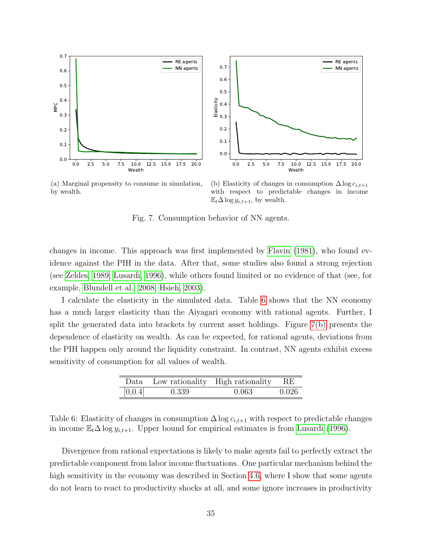<span id="page-35-0"></span>

(a) Marginal propensity to consume in simulation, by wealth.

<span id="page-35-2"></span>(b) Elasticity of changes in consumption  $\Delta \log c_{i,t+1}$ with respect to predictable changes in income  $\mathbb{E}_t \Delta \log y_{i,t+1}$ , by wealth.

Fig. 7. Consumption behavior of NN agents.

changes in income. This approach was first implemented by [Flavin \(1981\)](#page-41-11), who found evidence against the PIH in the data. After that, some studies also found a strong rejection (see [Zeldes, 1989;](#page-44-10) [Lusardi, 1996\)](#page-43-12), while others found limited or no evidence of that (see, for example, [Blundell et al., 2008;](#page-40-11) [Hsieh, 2003\)](#page-42-12).

I calculate the elasticity in the simulated data. Table [6](#page-35-1) shows that the NN economy has a much larger elasticity than the Aiyagari economy with rational agents. Further, I split the generated data into brackets by current asset holdings. Figure [7\(b\)](#page-35-2) presents the dependence of elasticity on wealth. As can be expected, for rational agents, deviations from the PIH happen only around the liquidity constraint. In contrast, NN agents exhibit excess sensitivity of consumption for all values of wealth.

|         |       | Data Low rationality High rationality RE |       |
|---------|-------|------------------------------------------|-------|
| [0,0.4] | 0.339 | 0.063                                    | 0.026 |

<span id="page-35-1"></span>Table 6: Elasticity of changes in consumption  $\Delta \log c_{i,t+1}$  with respect to predictable changes in income  $\mathbb{E}_t \Delta \log y_{i,t+1}$ . Upper bound for empirical estimates is from [Lusardi \(1996\)](#page-43-12).

Divergence from rational expectations is likely to make agents fail to perfectly extract the predictable component from labor income fluctuations. One particular mechanism behind the high sensitivity in the economy was described in Section [4.6,](#page-29-2) where I show that some agents do not learn to react to productivity shocks at all, and some ignore increases in productivity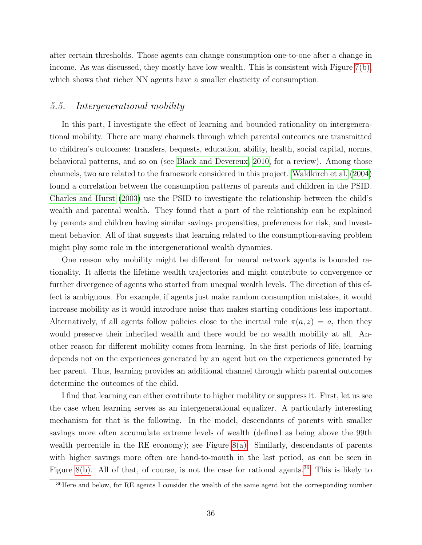after certain thresholds. Those agents can change consumption one-to-one after a change in income. As was discussed, they mostly have low wealth. This is consistent with Figure  $7(b)$ , which shows that richer NN agents have a smaller elasticity of consumption.

### <span id="page-36-0"></span>5.5. Intergenerational mobility

In this part, I investigate the effect of learning and bounded rationality on intergenerational mobility. There are many channels through which parental outcomes are transmitted to children's outcomes: transfers, bequests, education, ability, health, social capital, norms, behavioral patterns, and so on (see [Black and Devereux, 2010,](#page-40-12) for a review). Among those channels, two are related to the framework considered in this project. [Waldkirch et al. \(2004\)](#page-44-11) found a correlation between the consumption patterns of parents and children in the PSID. [Charles and Hurst \(2003\)](#page-41-12) use the PSID to investigate the relationship between the child's wealth and parental wealth. They found that a part of the relationship can be explained by parents and children having similar savings propensities, preferences for risk, and investment behavior. All of that suggests that learning related to the consumption-saving problem might play some role in the intergenerational wealth dynamics.

One reason why mobility might be different for neural network agents is bounded rationality. It affects the lifetime wealth trajectories and might contribute to convergence or further divergence of agents who started from unequal wealth levels. The direction of this effect is ambiguous. For example, if agents just make random consumption mistakes, it would increase mobility as it would introduce noise that makes starting conditions less important. Alternatively, if all agents follow policies close to the inertial rule  $\pi(a, z) = a$ , then they would preserve their inherited wealth and there would be no wealth mobility at all. Another reason for different mobility comes from learning. In the first periods of life, learning depends not on the experiences generated by an agent but on the experiences generated by her parent. Thus, learning provides an additional channel through which parental outcomes determine the outcomes of the child.

I find that learning can either contribute to higher mobility or suppress it. First, let us see the case when learning serves as an intergenerational equalizer. A particularly interesting mechanism for that is the following. In the model, descendants of parents with smaller savings more often accumulate extreme levels of wealth (defined as being above the 99th wealth percentile in the RE economy); see Figure  $8(a)$ . Similarly, descendants of parents with higher savings more often are hand-to-mouth in the last period, as can be seen in Figure [8\(b\).](#page-37-1) All of that, of course, is not the case for rational agents.<sup>[36](#page-36-1)</sup> This is likely to

<span id="page-36-1"></span><sup>&</sup>lt;sup>36</sup>Here and below, for RE agents I consider the wealth of the same agent but the corresponding number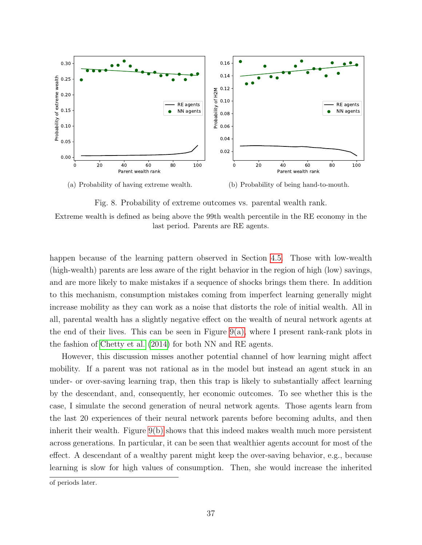<span id="page-37-0"></span>

<span id="page-37-1"></span>Fig. 8. Probability of extreme outcomes vs. parental wealth rank.

Extreme wealth is defined as being above the 99th wealth percentile in the RE economy in the last period. Parents are RE agents.

happen because of the learning pattern observed in Section [4.5.](#page-28-0) Those with low-wealth (high-wealth) parents are less aware of the right behavior in the region of high (low) savings, and are more likely to make mistakes if a sequence of shocks brings them there. In addition to this mechanism, consumption mistakes coming from imperfect learning generally might increase mobility as they can work as a noise that distorts the role of initial wealth. All in all, parental wealth has a slightly negative effect on the wealth of neural network agents at the end of their lives. This can be seen in Figure [9\(a\),](#page-38-0) where I present rank-rank plots in the fashion of [Chetty et al. \(2014\)](#page-41-13) for both NN and RE agents.

However, this discussion misses another potential channel of how learning might affect mobility. If a parent was not rational as in the model but instead an agent stuck in an under- or over-saving learning trap, then this trap is likely to substantially affect learning by the descendant, and, consequently, her economic outcomes. To see whether this is the case, I simulate the second generation of neural network agents. Those agents learn from the last 20 experiences of their neural network parents before becoming adults, and then inherit their wealth. Figure [9\(b\)](#page-38-1) shows that this indeed makes wealth much more persistent across generations. In particular, it can be seen that wealthier agents account for most of the effect. A descendant of a wealthy parent might keep the over-saving behavior, e.g., because learning is slow for high values of consumption. Then, she would increase the inherited

of periods later.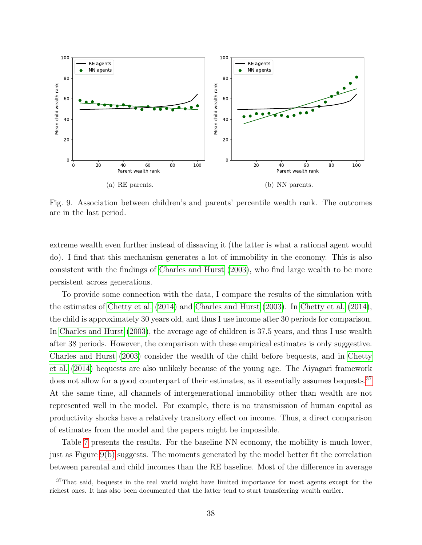<span id="page-38-0"></span>

<span id="page-38-1"></span>Fig. 9. Association between children's and parents' percentile wealth rank. The outcomes are in the last period.

extreme wealth even further instead of dissaving it (the latter is what a rational agent would do). I find that this mechanism generates a lot of immobility in the economy. This is also consistent with the findings of [Charles and Hurst \(2003\)](#page-41-12), who find large wealth to be more persistent across generations.

To provide some connection with the data, I compare the results of the simulation with the estimates of [Chetty et al. \(2014\)](#page-41-13) and [Charles and Hurst \(2003\)](#page-41-12). In [Chetty et al. \(2014\)](#page-41-13), the child is approximately 30 years old, and thus I use income after 30 periods for comparison. In [Charles and Hurst \(2003\)](#page-41-12), the average age of children is 37.5 years, and thus I use wealth after 38 periods. However, the comparison with these empirical estimates is only suggestive. [Charles and Hurst \(2003\)](#page-41-12) consider the wealth of the child before bequests, and in [Chetty](#page-41-13) [et al. \(2014\)](#page-41-13) bequests are also unlikely because of the young age. The Aiyagari framework does not allow for a good counterpart of their estimates, as it essentially assumes bequests.<sup>[37](#page-38-2)</sup> At the same time, all channels of intergenerational immobility other than wealth are not represented well in the model. For example, there is no transmission of human capital as productivity shocks have a relatively transitory effect on income. Thus, a direct comparison of estimates from the model and the papers might be impossible.

Table [7](#page-39-1) presents the results. For the baseline NN economy, the mobility is much lower, just as Figure [9\(b\)](#page-38-1) suggests. The moments generated by the model better fit the correlation between parental and child incomes than the RE baseline. Most of the difference in average

<span id="page-38-2"></span><sup>&</sup>lt;sup>37</sup>That said, bequests in the real world might have limited importance for most agents except for the richest ones. It has also been documented that the latter tend to start transferring wealth earlier.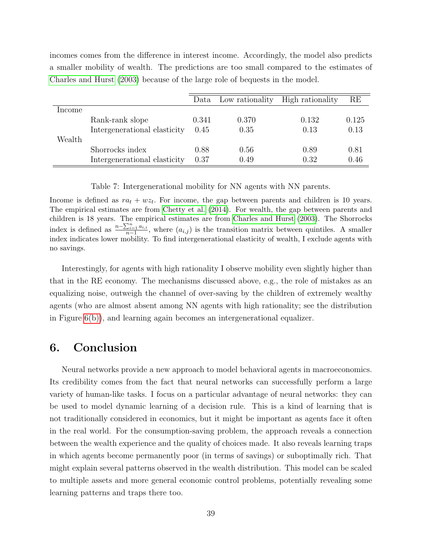incomes comes from the difference in interest income. Accordingly, the model also predicts a smaller mobility of wealth. The predictions are too small compared to the estimates of [Charles and Hurst \(2003\)](#page-41-12) because of the large role of bequests in the model.

|        |                              | Data  | Low rationality | High rationality | RE    |
|--------|------------------------------|-------|-----------------|------------------|-------|
| Income |                              |       |                 |                  |       |
|        | Rank-rank slope              | 0.341 | 0.370           | 0.132            | 0.125 |
|        | Intergenerational elasticity | 0.45  | 0.35            | 0.13             | 0.13  |
| Wealth |                              |       |                 |                  |       |
|        | Shorrocks index              | 0.88  | 0.56            | 0.89             | 0.81  |
|        | Intergenerational elasticity | 0.37  | 0.49            | 0.32             | 0.46  |

Table 7: Intergenerational mobility for NN agents with NN parents.

<span id="page-39-1"></span>Income is defined as  $ra_t + wz_t$ . For income, the gap between parents and children is 10 years. The empirical estimates are from [Chetty et al. \(2014\)](#page-41-13). For wealth, the gap between parents and children is 18 years. The empirical estimates are from [Charles and Hurst \(2003\)](#page-41-12). The Shorrocks index is defined as  $\frac{n-\sum_{i=1}^n a_{i,i}}{n-1}$ , where  $(a_{i,j})$  is the transition matrix between quintiles. A smaller index indicates lower mobility. To find intergenerational elasticity of wealth, I exclude agents with no savings.

Interestingly, for agents with high rationality I observe mobility even slightly higher than that in the RE economy. The mechanisms discussed above, e.g., the role of mistakes as an equalizing noise, outweigh the channel of over-saving by the children of extremely wealthy agents (who are almost absent among NN agents with high rationality; see the distribution in Figure [6\(b\)\)](#page-31-3), and learning again becomes an intergenerational equalizer.

### <span id="page-39-0"></span>6. Conclusion

Neural networks provide a new approach to model behavioral agents in macroeconomics. Its credibility comes from the fact that neural networks can successfully perform a large variety of human-like tasks. I focus on a particular advantage of neural networks: they can be used to model dynamic learning of a decision rule. This is a kind of learning that is not traditionally considered in economics, but it might be important as agents face it often in the real world. For the consumption-saving problem, the approach reveals a connection between the wealth experience and the quality of choices made. It also reveals learning traps in which agents become permanently poor (in terms of savings) or suboptimally rich. That might explain several patterns observed in the wealth distribution. This model can be scaled to multiple assets and more general economic control problems, potentially revealing some learning patterns and traps there too.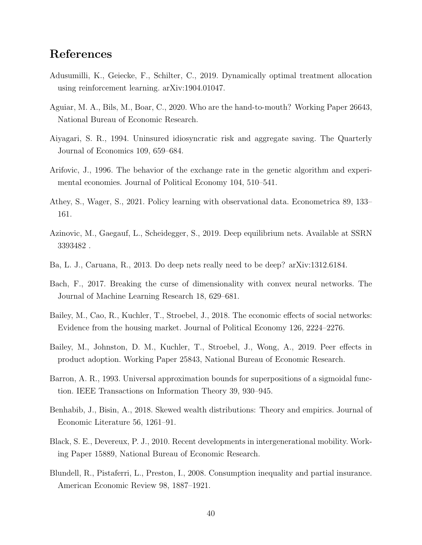# References

- <span id="page-40-3"></span>Adusumilli, K., Geiecke, F., Schilter, C., 2019. Dynamically optimal treatment allocation using reinforcement learning. arXiv:1904.01047.
- <span id="page-40-9"></span>Aguiar, M. A., Bils, M., Boar, C., 2020. Who are the hand-to-mouth? Working Paper 26643, National Bureau of Economic Research.
- <span id="page-40-0"></span>Aiyagari, S. R., 1994. Uninsured idiosyncratic risk and aggregate saving. The Quarterly Journal of Economics 109, 659–684.
- <span id="page-40-4"></span>Arifovic, J., 1996. The behavior of the exchange rate in the genetic algorithm and experimental economies. Journal of Political Economy 104, 510–541.
- <span id="page-40-2"></span>Athey, S., Wager, S., 2021. Policy learning with observational data. Econometrica 89, 133– 161.
- <span id="page-40-1"></span>Azinovic, M., Gaegauf, L., Scheidegger, S., 2019. Deep equilibrium nets. Available at SSRN 3393482 .
- <span id="page-40-13"></span>Ba, L. J., Caruana, R., 2013. Do deep nets really need to be deep? arXiv:1312.6184.
- <span id="page-40-5"></span>Bach, F., 2017. Breaking the curse of dimensionality with convex neural networks. The Journal of Machine Learning Research 18, 629–681.
- <span id="page-40-7"></span>Bailey, M., Cao, R., Kuchler, T., Stroebel, J., 2018. The economic effects of social networks: Evidence from the housing market. Journal of Political Economy 126, 2224–2276.
- <span id="page-40-8"></span>Bailey, M., Johnston, D. M., Kuchler, T., Stroebel, J., Wong, A., 2019. Peer effects in product adoption. Working Paper 25843, National Bureau of Economic Research.
- <span id="page-40-6"></span>Barron, A. R., 1993. Universal approximation bounds for superpositions of a sigmoidal function. IEEE Transactions on Information Theory 39, 930–945.
- <span id="page-40-10"></span>Benhabib, J., Bisin, A., 2018. Skewed wealth distributions: Theory and empirics. Journal of Economic Literature 56, 1261–91.
- <span id="page-40-12"></span>Black, S. E., Devereux, P. J., 2010. Recent developments in intergenerational mobility. Working Paper 15889, National Bureau of Economic Research.
- <span id="page-40-11"></span>Blundell, R., Pistaferri, L., Preston, I., 2008. Consumption inequality and partial insurance. American Economic Review 98, 1887–1921.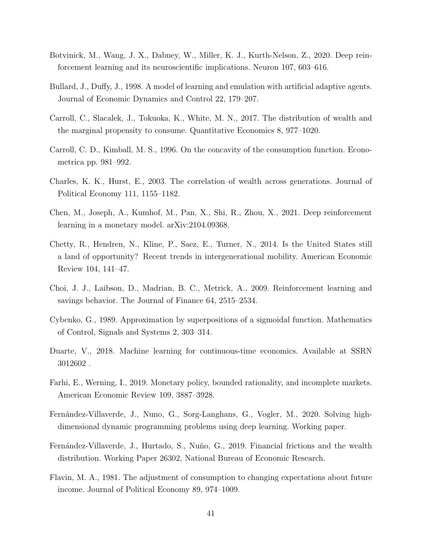- <span id="page-41-1"></span>Botvinick, M., Wang, J. X., Dabney, W., Miller, K. J., Kurth-Nelson, Z., 2020. Deep reinforcement learning and its neuroscientific implications. Neuron 107, 603–616.
- <span id="page-41-7"></span>Bullard, J., Duffy, J., 1998. A model of learning and emulation with artificial adaptive agents. Journal of Economic Dynamics and Control 22, 179–207.
- <span id="page-41-9"></span>Carroll, C., Slacalek, J., Tokuoka, K., White, M. N., 2017. The distribution of wealth and the marginal propensity to consume. Quantitative Economics 8, 977–1020.
- <span id="page-41-10"></span>Carroll, C. D., Kimball, M. S., 1996. On the concavity of the consumption function. Econometrica pp. 981–992.
- <span id="page-41-12"></span>Charles, K. K., Hurst, E., 2003. The correlation of wealth across generations. Journal of Political Economy 111, 1155–1182.
- <span id="page-41-5"></span>Chen, M., Joseph, A., Kumhof, M., Pan, X., Shi, R., Zhou, X., 2021. Deep reinforcement learning in a monetary model. arXiv:2104.09368.
- <span id="page-41-13"></span>Chetty, R., Hendren, N., Kline, P., Saez, E., Turner, N., 2014. Is the United States still a land of opportunity? Recent trends in intergenerational mobility. American Economic Review 104, 141–47.
- <span id="page-41-0"></span>Choi, J. J., Laibson, D., Madrian, B. C., Metrick, A., 2009. Reinforcement learning and savings behavior. The Journal of Finance 64, 2515–2534.
- <span id="page-41-8"></span>Cybenko, G., 1989. Approximation by superpositions of a sigmoidal function. Mathematics of Control, Signals and Systems 2, 303–314.
- <span id="page-41-2"></span>Duarte, V., 2018. Machine learning for continuous-time economics. Available at SSRN 3012602 .
- <span id="page-41-6"></span>Farhi, E., Werning, I., 2019. Monetary policy, bounded rationality, and incomplete markets. American Economic Review 109, 3887–3928.
- <span id="page-41-4"></span>Fernández-Villaverde, J., Nuno, G., Sorg-Langhans, G., Vogler, M., 2020. Solving highdimensional dynamic programming problems using deep learning. Working paper.
- <span id="page-41-3"></span>Fernández-Villaverde, J., Hurtado, S., Nuño, G., 2019. Financial frictions and the wealth distribution. Working Paper 26302, National Bureau of Economic Research.
- <span id="page-41-11"></span>Flavin, M. A., 1981. The adjustment of consumption to changing expectations about future income. Journal of Political Economy 89, 974–1009.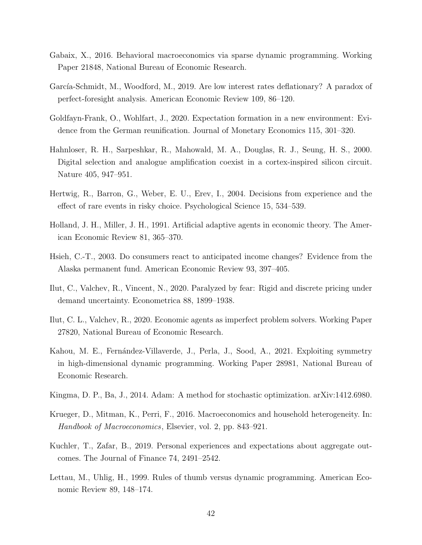- <span id="page-42-4"></span>Gabaix, X., 2016. Behavioral macroeconomics via sparse dynamic programming. Working Paper 21848, National Bureau of Economic Research.
- <span id="page-42-5"></span>García-Schmidt, M., Woodford, M., 2019. Are low interest rates deflationary? A paradox of perfect-foresight analysis. American Economic Review 109, 86–120.
- <span id="page-42-0"></span>Goldfayn-Frank, O., Wohlfart, J., 2020. Expectation formation in a new environment: Evidence from the German reunification. Journal of Monetary Economics 115, 301–320.
- <span id="page-42-13"></span>Hahnloser, R. H., Sarpeshkar, R., Mahowald, M. A., Douglas, R. J., Seung, H. S., 2000. Digital selection and analogue amplification coexist in a cortex-inspired silicon circuit. Nature 405, 947–951.
- <span id="page-42-2"></span>Hertwig, R., Barron, G., Weber, E. U., Erev, I., 2004. Decisions from experience and the effect of rare events in risky choice. Psychological Science 15, 534–539.
- <span id="page-42-8"></span>Holland, J. H., Miller, J. H., 1991. Artificial adaptive agents in economic theory. The American Economic Review 81, 365–370.
- <span id="page-42-12"></span>Hsieh, C.-T., 2003. Do consumers react to anticipated income changes? Evidence from the Alaska permanent fund. American Economic Review 93, 397–405.
- <span id="page-42-7"></span>Ilut, C., Valchev, R., Vincent, N., 2020. Paralyzed by fear: Rigid and discrete pricing under demand uncertainty. Econometrica 88, 1899–1938.
- <span id="page-42-6"></span>Ilut, C. L., Valchev, R., 2020. Economic agents as imperfect problem solvers. Working Paper 27820, National Bureau of Economic Research.
- <span id="page-42-3"></span>Kahou, M. E., Fernández-Villaverde, J., Perla, J., Sood, A., 2021. Exploiting symmetry in high-dimensional dynamic programming. Working Paper 28981, National Bureau of Economic Research.
- <span id="page-42-10"></span>Kingma, D. P., Ba, J., 2014. Adam: A method for stochastic optimization. arXiv:1412.6980.
- <span id="page-42-11"></span>Krueger, D., Mitman, K., Perri, F., 2016. Macroeconomics and household heterogeneity. In: Handbook of Macroeconomics, Elsevier, vol. 2, pp. 843–921.
- <span id="page-42-1"></span>Kuchler, T., Zafar, B., 2019. Personal experiences and expectations about aggregate outcomes. The Journal of Finance 74, 2491–2542.
- <span id="page-42-9"></span>Lettau, M., Uhlig, H., 1999. Rules of thumb versus dynamic programming. American Economic Review 89, 148–174.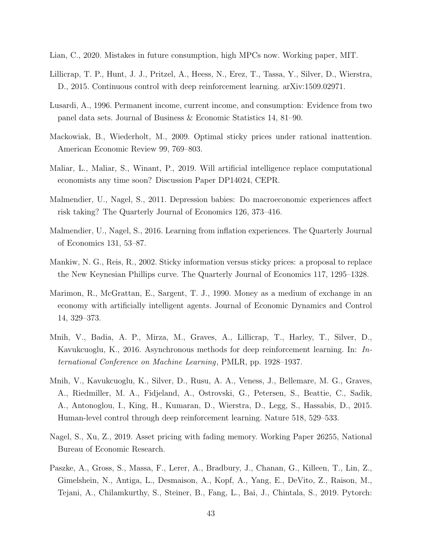- <span id="page-43-6"></span>Lian, C., 2020. Mistakes in future consumption, high MPCs now. Working paper, MIT.
- <span id="page-43-8"></span>Lillicrap, T. P., Hunt, J. J., Pritzel, A., Heess, N., Erez, T., Tassa, Y., Silver, D., Wierstra, D., 2015. Continuous control with deep reinforcement learning. arXiv:1509.02971.
- <span id="page-43-12"></span>Lusardi, A., 1996. Permanent income, current income, and consumption: Evidence from two panel data sets. Journal of Business & Economic Statistics 14, 81–90.
- <span id="page-43-5"></span>Mackowiak, B., Wiederholt, M., 2009. Optimal sticky prices under rational inattention. American Economic Review 99, 769–803.
- <span id="page-43-3"></span>Maliar, L., Maliar, S., Winant, P., 2019. Will artificial intelligence replace computational economists any time soon? Discussion Paper DP14024, CEPR.
- <span id="page-43-1"></span>Malmendier, U., Nagel, S., 2011. Depression babies: Do macroeconomic experiences affect risk taking? The Quarterly Journal of Economics 126, 373–416.
- <span id="page-43-2"></span>Malmendier, U., Nagel, S., 2016. Learning from inflation experiences. The Quarterly Journal of Economics 131, 53–87.
- <span id="page-43-4"></span>Mankiw, N. G., Reis, R., 2002. Sticky information versus sticky prices: a proposal to replace the New Keynesian Phillips curve. The Quarterly Journal of Economics 117, 1295–1328.
- <span id="page-43-7"></span>Marimon, R., McGrattan, E., Sargent, T. J., 1990. Money as a medium of exchange in an economy with artificially intelligent agents. Journal of Economic Dynamics and Control 14, 329–373.
- <span id="page-43-10"></span>Mnih, V., Badia, A. P., Mirza, M., Graves, A., Lillicrap, T., Harley, T., Silver, D., Kavukcuoglu, K., 2016. Asynchronous methods for deep reinforcement learning. In: International Conference on Machine Learning, PMLR, pp. 1928–1937.
- <span id="page-43-9"></span>Mnih, V., Kavukcuoglu, K., Silver, D., Rusu, A. A., Veness, J., Bellemare, M. G., Graves, A., Riedmiller, M. A., Fidjeland, A., Ostrovski, G., Petersen, S., Beattie, C., Sadik, A., Antonoglou, I., King, H., Kumaran, D., Wierstra, D., Legg, S., Hassabis, D., 2015. Human-level control through deep reinforcement learning. Nature 518, 529–533.
- <span id="page-43-0"></span>Nagel, S., Xu, Z., 2019. Asset pricing with fading memory. Working Paper 26255, National Bureau of Economic Research.
- <span id="page-43-11"></span>Paszke, A., Gross, S., Massa, F., Lerer, A., Bradbury, J., Chanan, G., Killeen, T., Lin, Z., Gimelshein, N., Antiga, L., Desmaison, A., Kopf, A., Yang, E., DeVito, Z., Raison, M., Tejani, A., Chilamkurthy, S., Steiner, B., Fang, L., Bai, J., Chintala, S., 2019. Pytorch: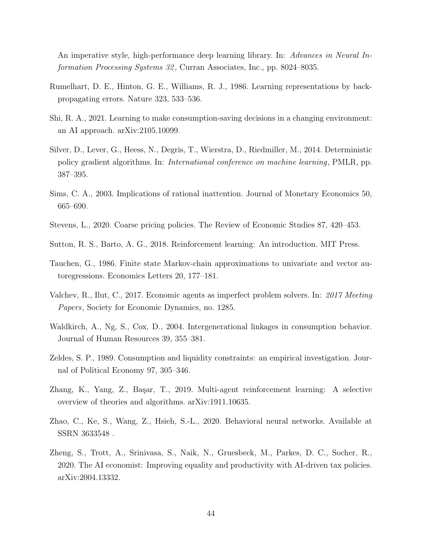An imperative style, high-performance deep learning library. In: Advances in Neural Information Processing Systems 32 , Curran Associates, Inc., pp. 8024–8035.

- <span id="page-44-12"></span>Rumelhart, D. E., Hinton, G. E., Williams, R. J., 1986. Learning representations by backpropagating errors. Nature 323, 533–536.
- <span id="page-44-1"></span>Shi, R. A., 2021. Learning to make consumption-saving decisions in a changing environment: an AI approach. arXiv:2105.10099.
- <span id="page-44-9"></span>Silver, D., Lever, G., Heess, N., Degris, T., Wierstra, D., Riedmiller, M., 2014. Deterministic policy gradient algorithms. In: International conference on machine learning, PMLR, pp. 387–395.
- <span id="page-44-3"></span>Sims, C. A., 2003. Implications of rational inattention. Journal of Monetary Economics 50, 665–690.
- <span id="page-44-4"></span>Stevens, L., 2020. Coarse pricing policies. The Review of Economic Studies 87, 420–453.
- <span id="page-44-0"></span>Sutton, R. S., Barto, A. G., 2018. Reinforcement learning: An introduction. MIT Press.
- <span id="page-44-8"></span>Tauchen, G., 1986. Finite state Markov-chain approximations to univariate and vector autoregressions. Economics Letters 20, 177–181.
- <span id="page-44-5"></span>Valchev, R., Ilut, C., 2017. Economic agents as imperfect problem solvers. In: 2017 Meeting Papers, Society for Economic Dynamics, no. 1285.
- <span id="page-44-11"></span>Waldkirch, A., Ng, S., Cox, D., 2004. Intergenerational linkages in consumption behavior. Journal of Human Resources 39, 355–381.
- <span id="page-44-10"></span>Zeldes, S. P., 1989. Consumption and liquidity constraints: an empirical investigation. Journal of Political Economy 97, 305–346.
- <span id="page-44-6"></span>Zhang, K., Yang, Z., Başar, T., 2019. Multi-agent reinforcement learning: A selective overview of theories and algorithms. arXiv:1911.10635.
- <span id="page-44-2"></span>Zhao, C., Ke, S., Wang, Z., Hsieh, S.-L., 2020. Behavioral neural networks. Available at SSRN 3633548 .
- <span id="page-44-7"></span>Zheng, S., Trott, A., Srinivasa, S., Naik, N., Gruesbeck, M., Parkes, D. C., Socher, R., 2020. The AI economist: Improving equality and productivity with AI-driven tax policies. arXiv:2004.13332.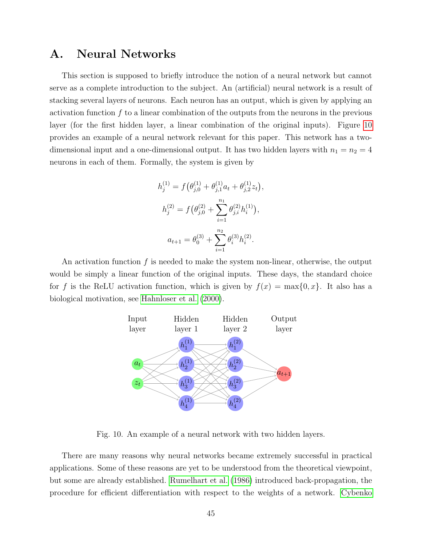# <span id="page-45-0"></span>A. Neural Networks

This section is supposed to briefly introduce the notion of a neural network but cannot serve as a complete introduction to the subject. An (artificial) neural network is a result of stacking several layers of neurons. Each neuron has an output, which is given by applying an activation function  $f$  to a linear combination of the outputs from the neurons in the previous layer (for the first hidden layer, a linear combination of the original inputs). Figure [10](#page-45-1) provides an example of a neural network relevant for this paper. This network has a twodimensional input and a one-dimensional output. It has two hidden layers with  $n_1 = n_2 = 4$ neurons in each of them. Formally, the system is given by

$$
h_j^{(1)} = f(\theta_{j,0}^{(1)} + \theta_{j,1}^{(1)}a_t + \theta_{j,2}^{(1)}z_t),
$$
  

$$
h_j^{(2)} = f(\theta_{j,0}^{(2)} + \sum_{i=1}^{n_1} \theta_{j,i}^{(2)}h_i^{(1)}),
$$
  

$$
a_{t+1} = \theta_0^{(3)} + \sum_{i=1}^{n_2} \theta_i^{(3)}h_i^{(2)}.
$$

An activation function f is needed to make the system non-linear, otherwise, the output would be simply a linear function of the original inputs. These days, the standard choice for f is the ReLU activation function, which is given by  $f(x) = \max\{0, x\}$ . It also has a biological motivation, see [Hahnloser et al. \(2000\)](#page-42-13).



Fig. 10. An example of a neural network with two hidden layers.

<span id="page-45-1"></span>There are many reasons why neural networks became extremely successful in practical applications. Some of these reasons are yet to be understood from the theoretical viewpoint, but some are already established. [Rumelhart et al. \(1986\)](#page-44-12) introduced back-propagation, the procedure for efficient differentiation with respect to the weights of a network. [Cybenko](#page-41-8)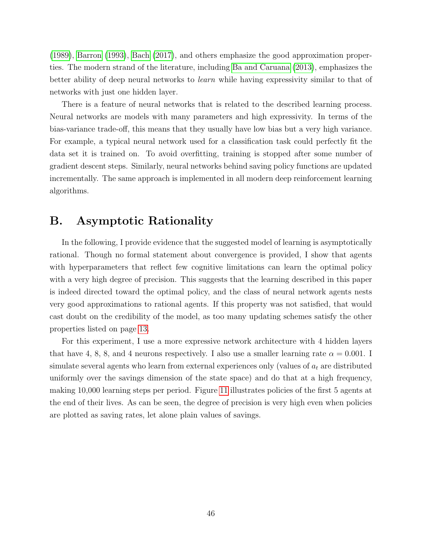[\(1989\)](#page-41-8), [Barron \(1993\)](#page-40-6), [Bach \(2017\)](#page-40-5), and others emphasize the good approximation properties. The modern strand of the literature, including [Ba and Caruana \(2013\)](#page-40-13), emphasizes the better ability of deep neural networks to learn while having expressivity similar to that of networks with just one hidden layer.

There is a feature of neural networks that is related to the described learning process. Neural networks are models with many parameters and high expressivity. In terms of the bias-variance trade-off, this means that they usually have low bias but a very high variance. For example, a typical neural network used for a classification task could perfectly fit the data set it is trained on. To avoid overfitting, training is stopped after some number of gradient descent steps. Similarly, neural networks behind saving policy functions are updated incrementally. The same approach is implemented in all modern deep reinforcement learning algorithms.

# <span id="page-46-0"></span>B. Asymptotic Rationality

In the following, I provide evidence that the suggested model of learning is asymptotically rational. Though no formal statement about convergence is provided, I show that agents with hyperparameters that reflect few cognitive limitations can learn the optimal policy with a very high degree of precision. This suggests that the learning described in this paper is indeed directed toward the optimal policy, and the class of neural network agents nests very good approximations to rational agents. If this property was not satisfied, that would cast doubt on the credibility of the model, as too many updating schemes satisfy the other properties listed on page [13.](#page-13-3)

For this experiment, I use a more expressive network architecture with 4 hidden layers that have 4, 8, 8, and 4 neurons respectively. I also use a smaller learning rate  $\alpha = 0.001$ . I simulate several agents who learn from external experiences only (values of  $a_t$  are distributed uniformly over the savings dimension of the state space) and do that at a high frequency, making 10,000 learning steps per period. Figure [11](#page-47-0) illustrates policies of the first 5 agents at the end of their lives. As can be seen, the degree of precision is very high even when policies are plotted as saving rates, let alone plain values of savings.